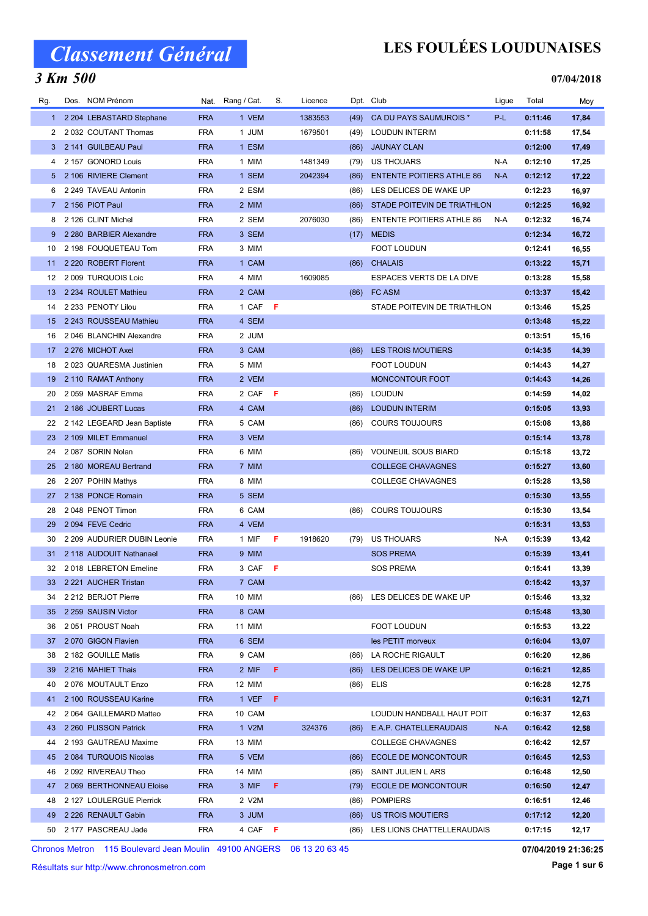### 3 Km 500

## LES FOULÉES LOUDUNAISES

#### 07/04/2018

| 2 204 LEBASTARD Stephane<br><b>FRA</b><br>1 VEM<br>1383553<br>(49)<br>CA DU PAYS SAUMUROIS *<br>P-L<br>0:11:46<br>17,84<br>$1 -$<br>2032 COUTANT Thomas<br><b>FRA</b><br>1 JUM<br>1679501<br>0:11:58<br>17,54<br>(49)<br>LOUDUN INTERIM<br>2<br>2 141 GUILBEAU Paul<br><b>FRA</b><br>1 ESM<br><b>JAUNAY CLAN</b><br>0:12:00<br>17,49<br>(86)<br>3.<br>2 157 GONORD Louis<br><b>FRA</b><br>1 MIM<br>US THOUARS<br>N-A<br>0:12:10<br>17,25<br>1481349<br>(79)<br>4<br>5 2 106 RIVIERE Clement<br><b>FRA</b><br>1 SEM<br><b>ENTENTE POITIERS ATHLE 86</b><br>0:12:12<br>17,22<br>2042394<br>(86)<br>N-A<br><b>FRA</b><br>2 249 TAVEAU Antonin<br>2 ESM<br>LES DELICES DE WAKE UP<br>0:12:23<br>6<br>(86)<br>16,97<br>2 156 PIOT Paul<br><b>FRA</b><br>2 MIM<br>STADE POITEVIN DE TRIATHLON<br>0:12:25<br>16,92<br>(86)<br>7<br><b>FRA</b><br>2 126 CLINT Michel<br>2 SEM<br>2076030<br><b>ENTENTE POITIERS ATHLE 86</b><br>N-A<br>0:12:32<br>8<br>(86)<br>16,74<br><b>FRA</b><br>2 280 BARBIER Alexandre<br>3 SEM<br><b>MEDIS</b><br>0:12:34<br>16,72<br>9<br>(17)<br>2 198 FOUQUETEAU Tom<br><b>FRA</b><br>3 MIM<br><b>FOOT LOUDUN</b><br>0:12:41<br>16,55<br>10<br>2 220 ROBERT Florent<br><b>FRA</b><br>1 CAM<br><b>CHALAIS</b><br>0:13:22<br>(86)<br>15,71<br>11<br>2 009 TURQUOIS Loic<br><b>FRA</b><br>4 MIM<br>1609085<br>ESPACES VERTS DE LA DIVE<br>0:13:28<br>15,58<br>12<br><b>FRA</b><br>2 234 ROULET Mathieu<br>2 CAM<br>FC ASM<br>13<br>(86)<br>0:13:37<br>15,42<br>2 233 PENOTY Lilou<br><b>FRA</b><br>- F<br>STADE POITEVIN DE TRIATHLON<br>1 CAF<br>0:13:46<br>15,25<br>14<br><b>FRA</b><br>2 243 ROUSSEAU Mathieu<br>4 SEM<br>15,22<br>15<br>0:13:48<br>2046 BLANCHIN Alexandre<br><b>FRA</b><br>2 JUM<br>0:13:51<br>15,16<br>16<br>2 276 MICHOT Axel<br><b>FRA</b><br>3 CAM<br><b>LES TROIS MOUTIERS</b><br>0:14:35<br>14,39<br>17<br>(86)<br><b>FRA</b><br>18<br>2023 QUARESMA Justinien<br>5 MIM<br><b>FOOT LOUDUN</b><br>0:14:43<br>14,27<br><b>FRA</b><br>MONCONTOUR FOOT<br>19<br>2 110 RAMAT Anthony<br>2 VEM<br>0:14:43<br>14,26<br>2059 MASRAF Emma<br><b>FRA</b><br>2 CAF<br>F<br><b>LOUDUN</b><br>0:14:59<br>14,02<br>20<br>(86)<br>2 186 JOUBERT Lucas<br><b>FRA</b><br>4 CAM<br><b>LOUDUN INTERIM</b><br>0:15:05<br>(86)<br>13,93<br>21<br><b>FRA</b><br>5 CAM<br>0:15:08<br>22<br>2 142 LEGEARD Jean Baptiste<br>(86)<br><b>COURS TOUJOURS</b><br>13,88<br>2 109 MILET Emmanuel<br><b>FRA</b><br>3 VEM<br>0:15:14<br>23<br>13,78<br>2087 SORIN Nolan<br><b>FRA</b><br>6 MIM<br><b>VOUNEUIL SOUS BIARD</b><br>24<br>0:15:18<br>13,72<br>(86)<br>2 180 MOREAU Bertrand<br><b>FRA</b><br>7 MIM<br><b>COLLEGE CHAVAGNES</b><br>25<br>0:15:27<br>13,60<br>2 207 POHIN Mathys<br><b>FRA</b><br>8 MIM<br><b>COLLEGE CHAVAGNES</b><br>13,58<br>26<br>0:15:28<br>2 138 PONCE Romain<br><b>FRA</b><br>5 SEM<br>27<br>0:15:30<br>13,55<br>2048 PENOT Timon<br><b>FRA</b><br>6 CAM<br><b>COURS TOUJOURS</b><br>0:15:30<br>13,54<br>28<br>(86)<br>2094 FEVE Cedric<br><b>FRA</b><br>4 VEM<br>0:15:31<br>29<br>13,53<br>F<br>2 209 AUDURIER DUBIN Leonie<br><b>FRA</b><br>1 MIF<br>1918620<br>US THOUARS<br>N-A<br>0:15:39<br>13,42<br>30<br>(79)<br><b>FRA</b><br>2 118 AUDOUIT Nathanael<br>9 MIM<br><b>SOS PREMA</b><br>0:15:39<br>13,41<br>31<br><b>FRA</b><br>3 CAF<br><b>SOS PREMA</b><br>0:15:41<br>32 2018 LEBRETON Emeline<br>- F<br>13,39<br>2 221 AUCHER Tristan<br><b>FRA</b><br>7 CAM<br>0:15:42<br>13,37<br>33<br>2 212 BERJOT Pierre<br><b>FRA</b><br>10 MIM<br>LES DELICES DE WAKE UP<br>0:15:46<br>13,32<br>34<br>(86)<br>2 259 SAUSIN Victor<br><b>FRA</b><br>8 CAM<br>0:15:48<br>13,30<br>35<br>11 MIM<br><b>FOOT LOUDUN</b><br>13,22<br>36<br>2051 PROUST Noah<br><b>FRA</b><br>0:15:53<br>6 SEM<br>0:16:04<br>37<br>2070 GIGON Flavien<br><b>FRA</b><br>les PETIT morveux<br>13,07<br><b>FRA</b><br>9 CAM<br>38<br>2 182 GOUILLE Matis<br>LA ROCHE RIGAULT<br>0:16:20<br>12,86<br>(86)<br>F.<br>2 216 MAHIET Thais<br><b>FRA</b><br>2 MIF<br>0:16:21<br>39<br>(86)<br>LES DELICES DE WAKE UP<br>12,85<br><b>FRA</b><br>40<br>2076 MOUTAULT Enzo<br>12 MIM<br>(86)<br>ELIS<br>0:16:28<br>12,75<br><b>FRA</b><br>1 VEF<br>F.<br>2 100 ROUSSEAU Karine<br>0:16:31<br>12,71<br>41<br><b>FRA</b><br>10 CAM<br>0:16:37<br>12,63<br>42<br>2 064 GAILLEMARD Matteo<br>LOUDUN HANDBALL HAUT POIT<br>2 260 PLISSON Patrick<br><b>FRA</b><br>1 V2M<br>324376<br>N-A<br>0:16:42<br>43<br>E.A.P. CHATELLERAUDAIS<br>12,58<br>(86)<br>2 193 GAUTREAU Maxime<br><b>FRA</b><br><b>COLLEGE CHAVAGNES</b><br>44<br>13 MIM<br>0:16:42<br>12,57<br>2 084 TURQUOIS Nicolas<br><b>ECOLE DE MONCONTOUR</b><br>45<br><b>FRA</b><br>5 VEM<br>(86)<br>0:16:45<br>12,53<br>2092 RIVEREAU Theo<br><b>FRA</b><br>0:16:48<br>46<br>14 MIM<br>(86)<br>SAINT JULIEN L ARS<br>12,50<br>F.<br>2 069 BERTHONNEAU Eloise<br><b>FRA</b><br>3 MIF<br><b>ECOLE DE MONCONTOUR</b><br>47<br>(79)<br>0:16:50<br>12,47<br>2 127 LOULERGUE Pierrick<br><b>FRA</b><br>2 V2M<br><b>POMPIERS</b><br>0:16:51<br>48<br>(86)<br>12,46<br>2 226 RENAULT Gabin<br><b>FRA</b><br>US TROIS MOUTIERS<br>0:17:12<br>12,20<br>49<br>3 JUM<br>(86) | Rg. | Dos. NOM Prénom     |            | Nat. Rang / Cat. | S.  | Licence |      | Dpt. Club                  | Ligue | Total   | Moy   |
|------------------------------------------------------------------------------------------------------------------------------------------------------------------------------------------------------------------------------------------------------------------------------------------------------------------------------------------------------------------------------------------------------------------------------------------------------------------------------------------------------------------------------------------------------------------------------------------------------------------------------------------------------------------------------------------------------------------------------------------------------------------------------------------------------------------------------------------------------------------------------------------------------------------------------------------------------------------------------------------------------------------------------------------------------------------------------------------------------------------------------------------------------------------------------------------------------------------------------------------------------------------------------------------------------------------------------------------------------------------------------------------------------------------------------------------------------------------------------------------------------------------------------------------------------------------------------------------------------------------------------------------------------------------------------------------------------------------------------------------------------------------------------------------------------------------------------------------------------------------------------------------------------------------------------------------------------------------------------------------------------------------------------------------------------------------------------------------------------------------------------------------------------------------------------------------------------------------------------------------------------------------------------------------------------------------------------------------------------------------------------------------------------------------------------------------------------------------------------------------------------------------------------------------------------------------------------------------------------------------------------------------------------------------------------------------------------------------------------------------------------------------------------------------------------------------------------------------------------------------------------------------------------------------------------------------------------------------------------------------------------------------------------------------------------------------------------------------------------------------------------------------------------------------------------------------------------------------------------------------------------------------------------------------------------------------------------------------------------------------------------------------------------------------------------------------------------------------------------------------------------------------------------------------------------------------------------------------------------------------------------------------------------------------------------------------------------------------------------------------------------------------------------------------------------------------------------------------------------------------------------------------------------------------------------------------------------------------------------------------------------------------------------------------------------------------------------------------------------------------------------------------------------------------------------------------------------------------------------------------------------------------------------------------------------------------------------------------------------------------------------------------------------------------------------------------------------------------------------------------------------------------------------------------------------------------------------------------------------------------------------------------------------------------------------------------------------------------------------------------------------------------------------------------------------------------------------------------------------------------------------------------------------------------------------------------------------------------------------------------------------------------------------------------------------------------------------------------------------------------------------|-----|---------------------|------------|------------------|-----|---------|------|----------------------------|-------|---------|-------|
|                                                                                                                                                                                                                                                                                                                                                                                                                                                                                                                                                                                                                                                                                                                                                                                                                                                                                                                                                                                                                                                                                                                                                                                                                                                                                                                                                                                                                                                                                                                                                                                                                                                                                                                                                                                                                                                                                                                                                                                                                                                                                                                                                                                                                                                                                                                                                                                                                                                                                                                                                                                                                                                                                                                                                                                                                                                                                                                                                                                                                                                                                                                                                                                                                                                                                                                                                                                                                                                                                                                                                                                                                                                                                                                                                                                                                                                                                                                                                                                                                                                                                                                                                                                                                                                                                                                                                                                                                                                                                                                                                                                                                                                                                                                                                                                                                                                                                                                                                                                                                                                                                                                              |     |                     |            |                  |     |         |      |                            |       |         |       |
|                                                                                                                                                                                                                                                                                                                                                                                                                                                                                                                                                                                                                                                                                                                                                                                                                                                                                                                                                                                                                                                                                                                                                                                                                                                                                                                                                                                                                                                                                                                                                                                                                                                                                                                                                                                                                                                                                                                                                                                                                                                                                                                                                                                                                                                                                                                                                                                                                                                                                                                                                                                                                                                                                                                                                                                                                                                                                                                                                                                                                                                                                                                                                                                                                                                                                                                                                                                                                                                                                                                                                                                                                                                                                                                                                                                                                                                                                                                                                                                                                                                                                                                                                                                                                                                                                                                                                                                                                                                                                                                                                                                                                                                                                                                                                                                                                                                                                                                                                                                                                                                                                                                              |     |                     |            |                  |     |         |      |                            |       |         |       |
|                                                                                                                                                                                                                                                                                                                                                                                                                                                                                                                                                                                                                                                                                                                                                                                                                                                                                                                                                                                                                                                                                                                                                                                                                                                                                                                                                                                                                                                                                                                                                                                                                                                                                                                                                                                                                                                                                                                                                                                                                                                                                                                                                                                                                                                                                                                                                                                                                                                                                                                                                                                                                                                                                                                                                                                                                                                                                                                                                                                                                                                                                                                                                                                                                                                                                                                                                                                                                                                                                                                                                                                                                                                                                                                                                                                                                                                                                                                                                                                                                                                                                                                                                                                                                                                                                                                                                                                                                                                                                                                                                                                                                                                                                                                                                                                                                                                                                                                                                                                                                                                                                                                              |     |                     |            |                  |     |         |      |                            |       |         |       |
|                                                                                                                                                                                                                                                                                                                                                                                                                                                                                                                                                                                                                                                                                                                                                                                                                                                                                                                                                                                                                                                                                                                                                                                                                                                                                                                                                                                                                                                                                                                                                                                                                                                                                                                                                                                                                                                                                                                                                                                                                                                                                                                                                                                                                                                                                                                                                                                                                                                                                                                                                                                                                                                                                                                                                                                                                                                                                                                                                                                                                                                                                                                                                                                                                                                                                                                                                                                                                                                                                                                                                                                                                                                                                                                                                                                                                                                                                                                                                                                                                                                                                                                                                                                                                                                                                                                                                                                                                                                                                                                                                                                                                                                                                                                                                                                                                                                                                                                                                                                                                                                                                                                              |     |                     |            |                  |     |         |      |                            |       |         |       |
|                                                                                                                                                                                                                                                                                                                                                                                                                                                                                                                                                                                                                                                                                                                                                                                                                                                                                                                                                                                                                                                                                                                                                                                                                                                                                                                                                                                                                                                                                                                                                                                                                                                                                                                                                                                                                                                                                                                                                                                                                                                                                                                                                                                                                                                                                                                                                                                                                                                                                                                                                                                                                                                                                                                                                                                                                                                                                                                                                                                                                                                                                                                                                                                                                                                                                                                                                                                                                                                                                                                                                                                                                                                                                                                                                                                                                                                                                                                                                                                                                                                                                                                                                                                                                                                                                                                                                                                                                                                                                                                                                                                                                                                                                                                                                                                                                                                                                                                                                                                                                                                                                                                              |     |                     |            |                  |     |         |      |                            |       |         |       |
|                                                                                                                                                                                                                                                                                                                                                                                                                                                                                                                                                                                                                                                                                                                                                                                                                                                                                                                                                                                                                                                                                                                                                                                                                                                                                                                                                                                                                                                                                                                                                                                                                                                                                                                                                                                                                                                                                                                                                                                                                                                                                                                                                                                                                                                                                                                                                                                                                                                                                                                                                                                                                                                                                                                                                                                                                                                                                                                                                                                                                                                                                                                                                                                                                                                                                                                                                                                                                                                                                                                                                                                                                                                                                                                                                                                                                                                                                                                                                                                                                                                                                                                                                                                                                                                                                                                                                                                                                                                                                                                                                                                                                                                                                                                                                                                                                                                                                                                                                                                                                                                                                                                              |     |                     |            |                  |     |         |      |                            |       |         |       |
|                                                                                                                                                                                                                                                                                                                                                                                                                                                                                                                                                                                                                                                                                                                                                                                                                                                                                                                                                                                                                                                                                                                                                                                                                                                                                                                                                                                                                                                                                                                                                                                                                                                                                                                                                                                                                                                                                                                                                                                                                                                                                                                                                                                                                                                                                                                                                                                                                                                                                                                                                                                                                                                                                                                                                                                                                                                                                                                                                                                                                                                                                                                                                                                                                                                                                                                                                                                                                                                                                                                                                                                                                                                                                                                                                                                                                                                                                                                                                                                                                                                                                                                                                                                                                                                                                                                                                                                                                                                                                                                                                                                                                                                                                                                                                                                                                                                                                                                                                                                                                                                                                                                              |     |                     |            |                  |     |         |      |                            |       |         |       |
|                                                                                                                                                                                                                                                                                                                                                                                                                                                                                                                                                                                                                                                                                                                                                                                                                                                                                                                                                                                                                                                                                                                                                                                                                                                                                                                                                                                                                                                                                                                                                                                                                                                                                                                                                                                                                                                                                                                                                                                                                                                                                                                                                                                                                                                                                                                                                                                                                                                                                                                                                                                                                                                                                                                                                                                                                                                                                                                                                                                                                                                                                                                                                                                                                                                                                                                                                                                                                                                                                                                                                                                                                                                                                                                                                                                                                                                                                                                                                                                                                                                                                                                                                                                                                                                                                                                                                                                                                                                                                                                                                                                                                                                                                                                                                                                                                                                                                                                                                                                                                                                                                                                              |     |                     |            |                  |     |         |      |                            |       |         |       |
|                                                                                                                                                                                                                                                                                                                                                                                                                                                                                                                                                                                                                                                                                                                                                                                                                                                                                                                                                                                                                                                                                                                                                                                                                                                                                                                                                                                                                                                                                                                                                                                                                                                                                                                                                                                                                                                                                                                                                                                                                                                                                                                                                                                                                                                                                                                                                                                                                                                                                                                                                                                                                                                                                                                                                                                                                                                                                                                                                                                                                                                                                                                                                                                                                                                                                                                                                                                                                                                                                                                                                                                                                                                                                                                                                                                                                                                                                                                                                                                                                                                                                                                                                                                                                                                                                                                                                                                                                                                                                                                                                                                                                                                                                                                                                                                                                                                                                                                                                                                                                                                                                                                              |     |                     |            |                  |     |         |      |                            |       |         |       |
|                                                                                                                                                                                                                                                                                                                                                                                                                                                                                                                                                                                                                                                                                                                                                                                                                                                                                                                                                                                                                                                                                                                                                                                                                                                                                                                                                                                                                                                                                                                                                                                                                                                                                                                                                                                                                                                                                                                                                                                                                                                                                                                                                                                                                                                                                                                                                                                                                                                                                                                                                                                                                                                                                                                                                                                                                                                                                                                                                                                                                                                                                                                                                                                                                                                                                                                                                                                                                                                                                                                                                                                                                                                                                                                                                                                                                                                                                                                                                                                                                                                                                                                                                                                                                                                                                                                                                                                                                                                                                                                                                                                                                                                                                                                                                                                                                                                                                                                                                                                                                                                                                                                              |     |                     |            |                  |     |         |      |                            |       |         |       |
|                                                                                                                                                                                                                                                                                                                                                                                                                                                                                                                                                                                                                                                                                                                                                                                                                                                                                                                                                                                                                                                                                                                                                                                                                                                                                                                                                                                                                                                                                                                                                                                                                                                                                                                                                                                                                                                                                                                                                                                                                                                                                                                                                                                                                                                                                                                                                                                                                                                                                                                                                                                                                                                                                                                                                                                                                                                                                                                                                                                                                                                                                                                                                                                                                                                                                                                                                                                                                                                                                                                                                                                                                                                                                                                                                                                                                                                                                                                                                                                                                                                                                                                                                                                                                                                                                                                                                                                                                                                                                                                                                                                                                                                                                                                                                                                                                                                                                                                                                                                                                                                                                                                              |     |                     |            |                  |     |         |      |                            |       |         |       |
|                                                                                                                                                                                                                                                                                                                                                                                                                                                                                                                                                                                                                                                                                                                                                                                                                                                                                                                                                                                                                                                                                                                                                                                                                                                                                                                                                                                                                                                                                                                                                                                                                                                                                                                                                                                                                                                                                                                                                                                                                                                                                                                                                                                                                                                                                                                                                                                                                                                                                                                                                                                                                                                                                                                                                                                                                                                                                                                                                                                                                                                                                                                                                                                                                                                                                                                                                                                                                                                                                                                                                                                                                                                                                                                                                                                                                                                                                                                                                                                                                                                                                                                                                                                                                                                                                                                                                                                                                                                                                                                                                                                                                                                                                                                                                                                                                                                                                                                                                                                                                                                                                                                              |     |                     |            |                  |     |         |      |                            |       |         |       |
|                                                                                                                                                                                                                                                                                                                                                                                                                                                                                                                                                                                                                                                                                                                                                                                                                                                                                                                                                                                                                                                                                                                                                                                                                                                                                                                                                                                                                                                                                                                                                                                                                                                                                                                                                                                                                                                                                                                                                                                                                                                                                                                                                                                                                                                                                                                                                                                                                                                                                                                                                                                                                                                                                                                                                                                                                                                                                                                                                                                                                                                                                                                                                                                                                                                                                                                                                                                                                                                                                                                                                                                                                                                                                                                                                                                                                                                                                                                                                                                                                                                                                                                                                                                                                                                                                                                                                                                                                                                                                                                                                                                                                                                                                                                                                                                                                                                                                                                                                                                                                                                                                                                              |     |                     |            |                  |     |         |      |                            |       |         |       |
|                                                                                                                                                                                                                                                                                                                                                                                                                                                                                                                                                                                                                                                                                                                                                                                                                                                                                                                                                                                                                                                                                                                                                                                                                                                                                                                                                                                                                                                                                                                                                                                                                                                                                                                                                                                                                                                                                                                                                                                                                                                                                                                                                                                                                                                                                                                                                                                                                                                                                                                                                                                                                                                                                                                                                                                                                                                                                                                                                                                                                                                                                                                                                                                                                                                                                                                                                                                                                                                                                                                                                                                                                                                                                                                                                                                                                                                                                                                                                                                                                                                                                                                                                                                                                                                                                                                                                                                                                                                                                                                                                                                                                                                                                                                                                                                                                                                                                                                                                                                                                                                                                                                              |     |                     |            |                  |     |         |      |                            |       |         |       |
|                                                                                                                                                                                                                                                                                                                                                                                                                                                                                                                                                                                                                                                                                                                                                                                                                                                                                                                                                                                                                                                                                                                                                                                                                                                                                                                                                                                                                                                                                                                                                                                                                                                                                                                                                                                                                                                                                                                                                                                                                                                                                                                                                                                                                                                                                                                                                                                                                                                                                                                                                                                                                                                                                                                                                                                                                                                                                                                                                                                                                                                                                                                                                                                                                                                                                                                                                                                                                                                                                                                                                                                                                                                                                                                                                                                                                                                                                                                                                                                                                                                                                                                                                                                                                                                                                                                                                                                                                                                                                                                                                                                                                                                                                                                                                                                                                                                                                                                                                                                                                                                                                                                              |     |                     |            |                  |     |         |      |                            |       |         |       |
|                                                                                                                                                                                                                                                                                                                                                                                                                                                                                                                                                                                                                                                                                                                                                                                                                                                                                                                                                                                                                                                                                                                                                                                                                                                                                                                                                                                                                                                                                                                                                                                                                                                                                                                                                                                                                                                                                                                                                                                                                                                                                                                                                                                                                                                                                                                                                                                                                                                                                                                                                                                                                                                                                                                                                                                                                                                                                                                                                                                                                                                                                                                                                                                                                                                                                                                                                                                                                                                                                                                                                                                                                                                                                                                                                                                                                                                                                                                                                                                                                                                                                                                                                                                                                                                                                                                                                                                                                                                                                                                                                                                                                                                                                                                                                                                                                                                                                                                                                                                                                                                                                                                              |     |                     |            |                  |     |         |      |                            |       |         |       |
|                                                                                                                                                                                                                                                                                                                                                                                                                                                                                                                                                                                                                                                                                                                                                                                                                                                                                                                                                                                                                                                                                                                                                                                                                                                                                                                                                                                                                                                                                                                                                                                                                                                                                                                                                                                                                                                                                                                                                                                                                                                                                                                                                                                                                                                                                                                                                                                                                                                                                                                                                                                                                                                                                                                                                                                                                                                                                                                                                                                                                                                                                                                                                                                                                                                                                                                                                                                                                                                                                                                                                                                                                                                                                                                                                                                                                                                                                                                                                                                                                                                                                                                                                                                                                                                                                                                                                                                                                                                                                                                                                                                                                                                                                                                                                                                                                                                                                                                                                                                                                                                                                                                              |     |                     |            |                  |     |         |      |                            |       |         |       |
|                                                                                                                                                                                                                                                                                                                                                                                                                                                                                                                                                                                                                                                                                                                                                                                                                                                                                                                                                                                                                                                                                                                                                                                                                                                                                                                                                                                                                                                                                                                                                                                                                                                                                                                                                                                                                                                                                                                                                                                                                                                                                                                                                                                                                                                                                                                                                                                                                                                                                                                                                                                                                                                                                                                                                                                                                                                                                                                                                                                                                                                                                                                                                                                                                                                                                                                                                                                                                                                                                                                                                                                                                                                                                                                                                                                                                                                                                                                                                                                                                                                                                                                                                                                                                                                                                                                                                                                                                                                                                                                                                                                                                                                                                                                                                                                                                                                                                                                                                                                                                                                                                                                              |     |                     |            |                  |     |         |      |                            |       |         |       |
|                                                                                                                                                                                                                                                                                                                                                                                                                                                                                                                                                                                                                                                                                                                                                                                                                                                                                                                                                                                                                                                                                                                                                                                                                                                                                                                                                                                                                                                                                                                                                                                                                                                                                                                                                                                                                                                                                                                                                                                                                                                                                                                                                                                                                                                                                                                                                                                                                                                                                                                                                                                                                                                                                                                                                                                                                                                                                                                                                                                                                                                                                                                                                                                                                                                                                                                                                                                                                                                                                                                                                                                                                                                                                                                                                                                                                                                                                                                                                                                                                                                                                                                                                                                                                                                                                                                                                                                                                                                                                                                                                                                                                                                                                                                                                                                                                                                                                                                                                                                                                                                                                                                              |     |                     |            |                  |     |         |      |                            |       |         |       |
|                                                                                                                                                                                                                                                                                                                                                                                                                                                                                                                                                                                                                                                                                                                                                                                                                                                                                                                                                                                                                                                                                                                                                                                                                                                                                                                                                                                                                                                                                                                                                                                                                                                                                                                                                                                                                                                                                                                                                                                                                                                                                                                                                                                                                                                                                                                                                                                                                                                                                                                                                                                                                                                                                                                                                                                                                                                                                                                                                                                                                                                                                                                                                                                                                                                                                                                                                                                                                                                                                                                                                                                                                                                                                                                                                                                                                                                                                                                                                                                                                                                                                                                                                                                                                                                                                                                                                                                                                                                                                                                                                                                                                                                                                                                                                                                                                                                                                                                                                                                                                                                                                                                              |     |                     |            |                  |     |         |      |                            |       |         |       |
|                                                                                                                                                                                                                                                                                                                                                                                                                                                                                                                                                                                                                                                                                                                                                                                                                                                                                                                                                                                                                                                                                                                                                                                                                                                                                                                                                                                                                                                                                                                                                                                                                                                                                                                                                                                                                                                                                                                                                                                                                                                                                                                                                                                                                                                                                                                                                                                                                                                                                                                                                                                                                                                                                                                                                                                                                                                                                                                                                                                                                                                                                                                                                                                                                                                                                                                                                                                                                                                                                                                                                                                                                                                                                                                                                                                                                                                                                                                                                                                                                                                                                                                                                                                                                                                                                                                                                                                                                                                                                                                                                                                                                                                                                                                                                                                                                                                                                                                                                                                                                                                                                                                              |     |                     |            |                  |     |         |      |                            |       |         |       |
|                                                                                                                                                                                                                                                                                                                                                                                                                                                                                                                                                                                                                                                                                                                                                                                                                                                                                                                                                                                                                                                                                                                                                                                                                                                                                                                                                                                                                                                                                                                                                                                                                                                                                                                                                                                                                                                                                                                                                                                                                                                                                                                                                                                                                                                                                                                                                                                                                                                                                                                                                                                                                                                                                                                                                                                                                                                                                                                                                                                                                                                                                                                                                                                                                                                                                                                                                                                                                                                                                                                                                                                                                                                                                                                                                                                                                                                                                                                                                                                                                                                                                                                                                                                                                                                                                                                                                                                                                                                                                                                                                                                                                                                                                                                                                                                                                                                                                                                                                                                                                                                                                                                              |     |                     |            |                  |     |         |      |                            |       |         |       |
|                                                                                                                                                                                                                                                                                                                                                                                                                                                                                                                                                                                                                                                                                                                                                                                                                                                                                                                                                                                                                                                                                                                                                                                                                                                                                                                                                                                                                                                                                                                                                                                                                                                                                                                                                                                                                                                                                                                                                                                                                                                                                                                                                                                                                                                                                                                                                                                                                                                                                                                                                                                                                                                                                                                                                                                                                                                                                                                                                                                                                                                                                                                                                                                                                                                                                                                                                                                                                                                                                                                                                                                                                                                                                                                                                                                                                                                                                                                                                                                                                                                                                                                                                                                                                                                                                                                                                                                                                                                                                                                                                                                                                                                                                                                                                                                                                                                                                                                                                                                                                                                                                                                              |     |                     |            |                  |     |         |      |                            |       |         |       |
|                                                                                                                                                                                                                                                                                                                                                                                                                                                                                                                                                                                                                                                                                                                                                                                                                                                                                                                                                                                                                                                                                                                                                                                                                                                                                                                                                                                                                                                                                                                                                                                                                                                                                                                                                                                                                                                                                                                                                                                                                                                                                                                                                                                                                                                                                                                                                                                                                                                                                                                                                                                                                                                                                                                                                                                                                                                                                                                                                                                                                                                                                                                                                                                                                                                                                                                                                                                                                                                                                                                                                                                                                                                                                                                                                                                                                                                                                                                                                                                                                                                                                                                                                                                                                                                                                                                                                                                                                                                                                                                                                                                                                                                                                                                                                                                                                                                                                                                                                                                                                                                                                                                              |     |                     |            |                  |     |         |      |                            |       |         |       |
|                                                                                                                                                                                                                                                                                                                                                                                                                                                                                                                                                                                                                                                                                                                                                                                                                                                                                                                                                                                                                                                                                                                                                                                                                                                                                                                                                                                                                                                                                                                                                                                                                                                                                                                                                                                                                                                                                                                                                                                                                                                                                                                                                                                                                                                                                                                                                                                                                                                                                                                                                                                                                                                                                                                                                                                                                                                                                                                                                                                                                                                                                                                                                                                                                                                                                                                                                                                                                                                                                                                                                                                                                                                                                                                                                                                                                                                                                                                                                                                                                                                                                                                                                                                                                                                                                                                                                                                                                                                                                                                                                                                                                                                                                                                                                                                                                                                                                                                                                                                                                                                                                                                              |     |                     |            |                  |     |         |      |                            |       |         |       |
|                                                                                                                                                                                                                                                                                                                                                                                                                                                                                                                                                                                                                                                                                                                                                                                                                                                                                                                                                                                                                                                                                                                                                                                                                                                                                                                                                                                                                                                                                                                                                                                                                                                                                                                                                                                                                                                                                                                                                                                                                                                                                                                                                                                                                                                                                                                                                                                                                                                                                                                                                                                                                                                                                                                                                                                                                                                                                                                                                                                                                                                                                                                                                                                                                                                                                                                                                                                                                                                                                                                                                                                                                                                                                                                                                                                                                                                                                                                                                                                                                                                                                                                                                                                                                                                                                                                                                                                                                                                                                                                                                                                                                                                                                                                                                                                                                                                                                                                                                                                                                                                                                                                              |     |                     |            |                  |     |         |      |                            |       |         |       |
|                                                                                                                                                                                                                                                                                                                                                                                                                                                                                                                                                                                                                                                                                                                                                                                                                                                                                                                                                                                                                                                                                                                                                                                                                                                                                                                                                                                                                                                                                                                                                                                                                                                                                                                                                                                                                                                                                                                                                                                                                                                                                                                                                                                                                                                                                                                                                                                                                                                                                                                                                                                                                                                                                                                                                                                                                                                                                                                                                                                                                                                                                                                                                                                                                                                                                                                                                                                                                                                                                                                                                                                                                                                                                                                                                                                                                                                                                                                                                                                                                                                                                                                                                                                                                                                                                                                                                                                                                                                                                                                                                                                                                                                                                                                                                                                                                                                                                                                                                                                                                                                                                                                              |     |                     |            |                  |     |         |      |                            |       |         |       |
|                                                                                                                                                                                                                                                                                                                                                                                                                                                                                                                                                                                                                                                                                                                                                                                                                                                                                                                                                                                                                                                                                                                                                                                                                                                                                                                                                                                                                                                                                                                                                                                                                                                                                                                                                                                                                                                                                                                                                                                                                                                                                                                                                                                                                                                                                                                                                                                                                                                                                                                                                                                                                                                                                                                                                                                                                                                                                                                                                                                                                                                                                                                                                                                                                                                                                                                                                                                                                                                                                                                                                                                                                                                                                                                                                                                                                                                                                                                                                                                                                                                                                                                                                                                                                                                                                                                                                                                                                                                                                                                                                                                                                                                                                                                                                                                                                                                                                                                                                                                                                                                                                                                              |     |                     |            |                  |     |         |      |                            |       |         |       |
|                                                                                                                                                                                                                                                                                                                                                                                                                                                                                                                                                                                                                                                                                                                                                                                                                                                                                                                                                                                                                                                                                                                                                                                                                                                                                                                                                                                                                                                                                                                                                                                                                                                                                                                                                                                                                                                                                                                                                                                                                                                                                                                                                                                                                                                                                                                                                                                                                                                                                                                                                                                                                                                                                                                                                                                                                                                                                                                                                                                                                                                                                                                                                                                                                                                                                                                                                                                                                                                                                                                                                                                                                                                                                                                                                                                                                                                                                                                                                                                                                                                                                                                                                                                                                                                                                                                                                                                                                                                                                                                                                                                                                                                                                                                                                                                                                                                                                                                                                                                                                                                                                                                              |     |                     |            |                  |     |         |      |                            |       |         |       |
|                                                                                                                                                                                                                                                                                                                                                                                                                                                                                                                                                                                                                                                                                                                                                                                                                                                                                                                                                                                                                                                                                                                                                                                                                                                                                                                                                                                                                                                                                                                                                                                                                                                                                                                                                                                                                                                                                                                                                                                                                                                                                                                                                                                                                                                                                                                                                                                                                                                                                                                                                                                                                                                                                                                                                                                                                                                                                                                                                                                                                                                                                                                                                                                                                                                                                                                                                                                                                                                                                                                                                                                                                                                                                                                                                                                                                                                                                                                                                                                                                                                                                                                                                                                                                                                                                                                                                                                                                                                                                                                                                                                                                                                                                                                                                                                                                                                                                                                                                                                                                                                                                                                              |     |                     |            |                  |     |         |      |                            |       |         |       |
|                                                                                                                                                                                                                                                                                                                                                                                                                                                                                                                                                                                                                                                                                                                                                                                                                                                                                                                                                                                                                                                                                                                                                                                                                                                                                                                                                                                                                                                                                                                                                                                                                                                                                                                                                                                                                                                                                                                                                                                                                                                                                                                                                                                                                                                                                                                                                                                                                                                                                                                                                                                                                                                                                                                                                                                                                                                                                                                                                                                                                                                                                                                                                                                                                                                                                                                                                                                                                                                                                                                                                                                                                                                                                                                                                                                                                                                                                                                                                                                                                                                                                                                                                                                                                                                                                                                                                                                                                                                                                                                                                                                                                                                                                                                                                                                                                                                                                                                                                                                                                                                                                                                              |     |                     |            |                  |     |         |      |                            |       |         |       |
|                                                                                                                                                                                                                                                                                                                                                                                                                                                                                                                                                                                                                                                                                                                                                                                                                                                                                                                                                                                                                                                                                                                                                                                                                                                                                                                                                                                                                                                                                                                                                                                                                                                                                                                                                                                                                                                                                                                                                                                                                                                                                                                                                                                                                                                                                                                                                                                                                                                                                                                                                                                                                                                                                                                                                                                                                                                                                                                                                                                                                                                                                                                                                                                                                                                                                                                                                                                                                                                                                                                                                                                                                                                                                                                                                                                                                                                                                                                                                                                                                                                                                                                                                                                                                                                                                                                                                                                                                                                                                                                                                                                                                                                                                                                                                                                                                                                                                                                                                                                                                                                                                                                              |     |                     |            |                  |     |         |      |                            |       |         |       |
|                                                                                                                                                                                                                                                                                                                                                                                                                                                                                                                                                                                                                                                                                                                                                                                                                                                                                                                                                                                                                                                                                                                                                                                                                                                                                                                                                                                                                                                                                                                                                                                                                                                                                                                                                                                                                                                                                                                                                                                                                                                                                                                                                                                                                                                                                                                                                                                                                                                                                                                                                                                                                                                                                                                                                                                                                                                                                                                                                                                                                                                                                                                                                                                                                                                                                                                                                                                                                                                                                                                                                                                                                                                                                                                                                                                                                                                                                                                                                                                                                                                                                                                                                                                                                                                                                                                                                                                                                                                                                                                                                                                                                                                                                                                                                                                                                                                                                                                                                                                                                                                                                                                              |     |                     |            |                  |     |         |      |                            |       |         |       |
|                                                                                                                                                                                                                                                                                                                                                                                                                                                                                                                                                                                                                                                                                                                                                                                                                                                                                                                                                                                                                                                                                                                                                                                                                                                                                                                                                                                                                                                                                                                                                                                                                                                                                                                                                                                                                                                                                                                                                                                                                                                                                                                                                                                                                                                                                                                                                                                                                                                                                                                                                                                                                                                                                                                                                                                                                                                                                                                                                                                                                                                                                                                                                                                                                                                                                                                                                                                                                                                                                                                                                                                                                                                                                                                                                                                                                                                                                                                                                                                                                                                                                                                                                                                                                                                                                                                                                                                                                                                                                                                                                                                                                                                                                                                                                                                                                                                                                                                                                                                                                                                                                                                              |     |                     |            |                  |     |         |      |                            |       |         |       |
|                                                                                                                                                                                                                                                                                                                                                                                                                                                                                                                                                                                                                                                                                                                                                                                                                                                                                                                                                                                                                                                                                                                                                                                                                                                                                                                                                                                                                                                                                                                                                                                                                                                                                                                                                                                                                                                                                                                                                                                                                                                                                                                                                                                                                                                                                                                                                                                                                                                                                                                                                                                                                                                                                                                                                                                                                                                                                                                                                                                                                                                                                                                                                                                                                                                                                                                                                                                                                                                                                                                                                                                                                                                                                                                                                                                                                                                                                                                                                                                                                                                                                                                                                                                                                                                                                                                                                                                                                                                                                                                                                                                                                                                                                                                                                                                                                                                                                                                                                                                                                                                                                                                              |     |                     |            |                  |     |         |      |                            |       |         |       |
|                                                                                                                                                                                                                                                                                                                                                                                                                                                                                                                                                                                                                                                                                                                                                                                                                                                                                                                                                                                                                                                                                                                                                                                                                                                                                                                                                                                                                                                                                                                                                                                                                                                                                                                                                                                                                                                                                                                                                                                                                                                                                                                                                                                                                                                                                                                                                                                                                                                                                                                                                                                                                                                                                                                                                                                                                                                                                                                                                                                                                                                                                                                                                                                                                                                                                                                                                                                                                                                                                                                                                                                                                                                                                                                                                                                                                                                                                                                                                                                                                                                                                                                                                                                                                                                                                                                                                                                                                                                                                                                                                                                                                                                                                                                                                                                                                                                                                                                                                                                                                                                                                                                              |     |                     |            |                  |     |         |      |                            |       |         |       |
|                                                                                                                                                                                                                                                                                                                                                                                                                                                                                                                                                                                                                                                                                                                                                                                                                                                                                                                                                                                                                                                                                                                                                                                                                                                                                                                                                                                                                                                                                                                                                                                                                                                                                                                                                                                                                                                                                                                                                                                                                                                                                                                                                                                                                                                                                                                                                                                                                                                                                                                                                                                                                                                                                                                                                                                                                                                                                                                                                                                                                                                                                                                                                                                                                                                                                                                                                                                                                                                                                                                                                                                                                                                                                                                                                                                                                                                                                                                                                                                                                                                                                                                                                                                                                                                                                                                                                                                                                                                                                                                                                                                                                                                                                                                                                                                                                                                                                                                                                                                                                                                                                                                              |     |                     |            |                  |     |         |      |                            |       |         |       |
|                                                                                                                                                                                                                                                                                                                                                                                                                                                                                                                                                                                                                                                                                                                                                                                                                                                                                                                                                                                                                                                                                                                                                                                                                                                                                                                                                                                                                                                                                                                                                                                                                                                                                                                                                                                                                                                                                                                                                                                                                                                                                                                                                                                                                                                                                                                                                                                                                                                                                                                                                                                                                                                                                                                                                                                                                                                                                                                                                                                                                                                                                                                                                                                                                                                                                                                                                                                                                                                                                                                                                                                                                                                                                                                                                                                                                                                                                                                                                                                                                                                                                                                                                                                                                                                                                                                                                                                                                                                                                                                                                                                                                                                                                                                                                                                                                                                                                                                                                                                                                                                                                                                              |     |                     |            |                  |     |         |      |                            |       |         |       |
|                                                                                                                                                                                                                                                                                                                                                                                                                                                                                                                                                                                                                                                                                                                                                                                                                                                                                                                                                                                                                                                                                                                                                                                                                                                                                                                                                                                                                                                                                                                                                                                                                                                                                                                                                                                                                                                                                                                                                                                                                                                                                                                                                                                                                                                                                                                                                                                                                                                                                                                                                                                                                                                                                                                                                                                                                                                                                                                                                                                                                                                                                                                                                                                                                                                                                                                                                                                                                                                                                                                                                                                                                                                                                                                                                                                                                                                                                                                                                                                                                                                                                                                                                                                                                                                                                                                                                                                                                                                                                                                                                                                                                                                                                                                                                                                                                                                                                                                                                                                                                                                                                                                              |     |                     |            |                  |     |         |      |                            |       |         |       |
|                                                                                                                                                                                                                                                                                                                                                                                                                                                                                                                                                                                                                                                                                                                                                                                                                                                                                                                                                                                                                                                                                                                                                                                                                                                                                                                                                                                                                                                                                                                                                                                                                                                                                                                                                                                                                                                                                                                                                                                                                                                                                                                                                                                                                                                                                                                                                                                                                                                                                                                                                                                                                                                                                                                                                                                                                                                                                                                                                                                                                                                                                                                                                                                                                                                                                                                                                                                                                                                                                                                                                                                                                                                                                                                                                                                                                                                                                                                                                                                                                                                                                                                                                                                                                                                                                                                                                                                                                                                                                                                                                                                                                                                                                                                                                                                                                                                                                                                                                                                                                                                                                                                              |     |                     |            |                  |     |         |      |                            |       |         |       |
|                                                                                                                                                                                                                                                                                                                                                                                                                                                                                                                                                                                                                                                                                                                                                                                                                                                                                                                                                                                                                                                                                                                                                                                                                                                                                                                                                                                                                                                                                                                                                                                                                                                                                                                                                                                                                                                                                                                                                                                                                                                                                                                                                                                                                                                                                                                                                                                                                                                                                                                                                                                                                                                                                                                                                                                                                                                                                                                                                                                                                                                                                                                                                                                                                                                                                                                                                                                                                                                                                                                                                                                                                                                                                                                                                                                                                                                                                                                                                                                                                                                                                                                                                                                                                                                                                                                                                                                                                                                                                                                                                                                                                                                                                                                                                                                                                                                                                                                                                                                                                                                                                                                              |     |                     |            |                  |     |         |      |                            |       |         |       |
|                                                                                                                                                                                                                                                                                                                                                                                                                                                                                                                                                                                                                                                                                                                                                                                                                                                                                                                                                                                                                                                                                                                                                                                                                                                                                                                                                                                                                                                                                                                                                                                                                                                                                                                                                                                                                                                                                                                                                                                                                                                                                                                                                                                                                                                                                                                                                                                                                                                                                                                                                                                                                                                                                                                                                                                                                                                                                                                                                                                                                                                                                                                                                                                                                                                                                                                                                                                                                                                                                                                                                                                                                                                                                                                                                                                                                                                                                                                                                                                                                                                                                                                                                                                                                                                                                                                                                                                                                                                                                                                                                                                                                                                                                                                                                                                                                                                                                                                                                                                                                                                                                                                              |     |                     |            |                  |     |         |      |                            |       |         |       |
|                                                                                                                                                                                                                                                                                                                                                                                                                                                                                                                                                                                                                                                                                                                                                                                                                                                                                                                                                                                                                                                                                                                                                                                                                                                                                                                                                                                                                                                                                                                                                                                                                                                                                                                                                                                                                                                                                                                                                                                                                                                                                                                                                                                                                                                                                                                                                                                                                                                                                                                                                                                                                                                                                                                                                                                                                                                                                                                                                                                                                                                                                                                                                                                                                                                                                                                                                                                                                                                                                                                                                                                                                                                                                                                                                                                                                                                                                                                                                                                                                                                                                                                                                                                                                                                                                                                                                                                                                                                                                                                                                                                                                                                                                                                                                                                                                                                                                                                                                                                                                                                                                                                              |     |                     |            |                  |     |         |      |                            |       |         |       |
|                                                                                                                                                                                                                                                                                                                                                                                                                                                                                                                                                                                                                                                                                                                                                                                                                                                                                                                                                                                                                                                                                                                                                                                                                                                                                                                                                                                                                                                                                                                                                                                                                                                                                                                                                                                                                                                                                                                                                                                                                                                                                                                                                                                                                                                                                                                                                                                                                                                                                                                                                                                                                                                                                                                                                                                                                                                                                                                                                                                                                                                                                                                                                                                                                                                                                                                                                                                                                                                                                                                                                                                                                                                                                                                                                                                                                                                                                                                                                                                                                                                                                                                                                                                                                                                                                                                                                                                                                                                                                                                                                                                                                                                                                                                                                                                                                                                                                                                                                                                                                                                                                                                              |     |                     |            |                  |     |         |      |                            |       |         |       |
|                                                                                                                                                                                                                                                                                                                                                                                                                                                                                                                                                                                                                                                                                                                                                                                                                                                                                                                                                                                                                                                                                                                                                                                                                                                                                                                                                                                                                                                                                                                                                                                                                                                                                                                                                                                                                                                                                                                                                                                                                                                                                                                                                                                                                                                                                                                                                                                                                                                                                                                                                                                                                                                                                                                                                                                                                                                                                                                                                                                                                                                                                                                                                                                                                                                                                                                                                                                                                                                                                                                                                                                                                                                                                                                                                                                                                                                                                                                                                                                                                                                                                                                                                                                                                                                                                                                                                                                                                                                                                                                                                                                                                                                                                                                                                                                                                                                                                                                                                                                                                                                                                                                              |     |                     |            |                  |     |         |      |                            |       |         |       |
|                                                                                                                                                                                                                                                                                                                                                                                                                                                                                                                                                                                                                                                                                                                                                                                                                                                                                                                                                                                                                                                                                                                                                                                                                                                                                                                                                                                                                                                                                                                                                                                                                                                                                                                                                                                                                                                                                                                                                                                                                                                                                                                                                                                                                                                                                                                                                                                                                                                                                                                                                                                                                                                                                                                                                                                                                                                                                                                                                                                                                                                                                                                                                                                                                                                                                                                                                                                                                                                                                                                                                                                                                                                                                                                                                                                                                                                                                                                                                                                                                                                                                                                                                                                                                                                                                                                                                                                                                                                                                                                                                                                                                                                                                                                                                                                                                                                                                                                                                                                                                                                                                                                              |     |                     |            |                  |     |         |      |                            |       |         |       |
|                                                                                                                                                                                                                                                                                                                                                                                                                                                                                                                                                                                                                                                                                                                                                                                                                                                                                                                                                                                                                                                                                                                                                                                                                                                                                                                                                                                                                                                                                                                                                                                                                                                                                                                                                                                                                                                                                                                                                                                                                                                                                                                                                                                                                                                                                                                                                                                                                                                                                                                                                                                                                                                                                                                                                                                                                                                                                                                                                                                                                                                                                                                                                                                                                                                                                                                                                                                                                                                                                                                                                                                                                                                                                                                                                                                                                                                                                                                                                                                                                                                                                                                                                                                                                                                                                                                                                                                                                                                                                                                                                                                                                                                                                                                                                                                                                                                                                                                                                                                                                                                                                                                              |     |                     |            |                  |     |         |      |                            |       |         |       |
|                                                                                                                                                                                                                                                                                                                                                                                                                                                                                                                                                                                                                                                                                                                                                                                                                                                                                                                                                                                                                                                                                                                                                                                                                                                                                                                                                                                                                                                                                                                                                                                                                                                                                                                                                                                                                                                                                                                                                                                                                                                                                                                                                                                                                                                                                                                                                                                                                                                                                                                                                                                                                                                                                                                                                                                                                                                                                                                                                                                                                                                                                                                                                                                                                                                                                                                                                                                                                                                                                                                                                                                                                                                                                                                                                                                                                                                                                                                                                                                                                                                                                                                                                                                                                                                                                                                                                                                                                                                                                                                                                                                                                                                                                                                                                                                                                                                                                                                                                                                                                                                                                                                              |     |                     |            |                  |     |         |      |                            |       |         |       |
|                                                                                                                                                                                                                                                                                                                                                                                                                                                                                                                                                                                                                                                                                                                                                                                                                                                                                                                                                                                                                                                                                                                                                                                                                                                                                                                                                                                                                                                                                                                                                                                                                                                                                                                                                                                                                                                                                                                                                                                                                                                                                                                                                                                                                                                                                                                                                                                                                                                                                                                                                                                                                                                                                                                                                                                                                                                                                                                                                                                                                                                                                                                                                                                                                                                                                                                                                                                                                                                                                                                                                                                                                                                                                                                                                                                                                                                                                                                                                                                                                                                                                                                                                                                                                                                                                                                                                                                                                                                                                                                                                                                                                                                                                                                                                                                                                                                                                                                                                                                                                                                                                                                              |     |                     |            |                  |     |         |      |                            |       |         |       |
|                                                                                                                                                                                                                                                                                                                                                                                                                                                                                                                                                                                                                                                                                                                                                                                                                                                                                                                                                                                                                                                                                                                                                                                                                                                                                                                                                                                                                                                                                                                                                                                                                                                                                                                                                                                                                                                                                                                                                                                                                                                                                                                                                                                                                                                                                                                                                                                                                                                                                                                                                                                                                                                                                                                                                                                                                                                                                                                                                                                                                                                                                                                                                                                                                                                                                                                                                                                                                                                                                                                                                                                                                                                                                                                                                                                                                                                                                                                                                                                                                                                                                                                                                                                                                                                                                                                                                                                                                                                                                                                                                                                                                                                                                                                                                                                                                                                                                                                                                                                                                                                                                                                              | 50  | 2 177 PASCREAU Jade | <b>FRA</b> | 4 CAF            | - F |         | (86) | LES LIONS CHATTELLERAUDAIS |       | 0:17:15 | 12,17 |

Chronos Metron 115 Boulevard Jean Moulin 49100 ANGERS 06 13 20 63 45

07/04/2019 21:36:25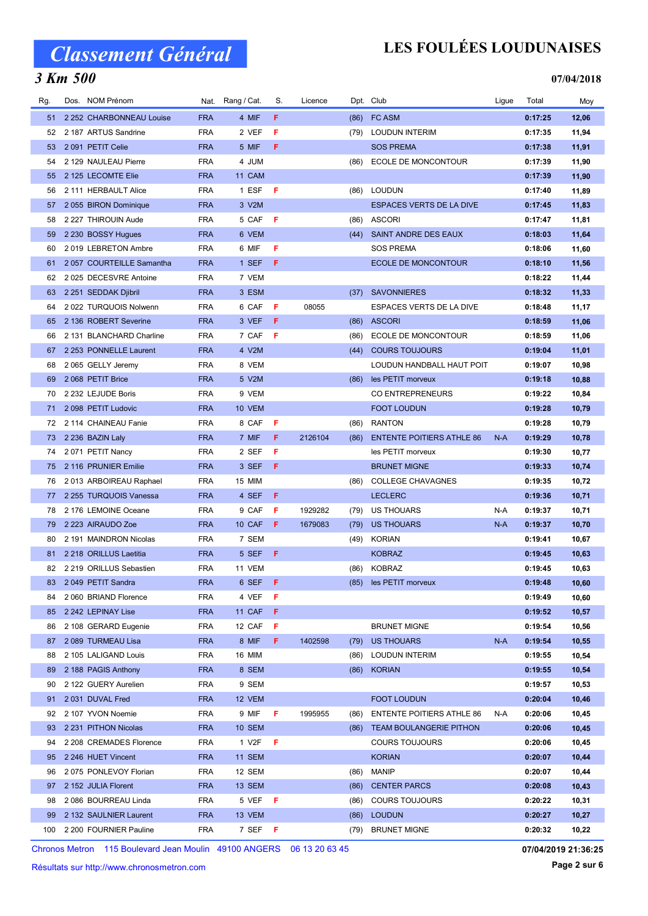### 3 Km 500

## LES FOULÉES LOUDUNAISES

#### 07/04/2018

| Rg. | Dos. NOM Prénom          |            | Nat. Rang / Cat. | S.  | Licence |      | Dpt. Club                        | Ligue | Total   | Moy   |
|-----|--------------------------|------------|------------------|-----|---------|------|----------------------------------|-------|---------|-------|
| 51  | 2 252 CHARBONNEAU Louise | <b>FRA</b> | 4 MIF            | F.  |         | (86) | <b>FC ASM</b>                    |       | 0:17:25 | 12,06 |
| 52  | 2 187 ARTUS Sandrine     | <b>FRA</b> | 2 VEF            | F   |         | (79) | <b>LOUDUN INTERIM</b>            |       | 0:17:35 | 11,94 |
| 53  | 2 091 PETIT Celie        | <b>FRA</b> | 5 MIF            | F   |         |      | <b>SOS PREMA</b>                 |       | 0:17:38 | 11,91 |
| 54  | 2 129 NAULEAU Pierre     | <b>FRA</b> | 4 JUM            |     |         | (86) | ECOLE DE MONCONTOUR              |       | 0:17:39 | 11,90 |
| 55  | 2 125 LECOMTE Elie       | <b>FRA</b> | 11 CAM           |     |         |      |                                  |       | 0:17:39 | 11,90 |
| 56  | 2 111 HERBAULT Alice     | <b>FRA</b> | 1 ESF            | - F |         | (86) | <b>LOUDUN</b>                    |       | 0:17:40 | 11,89 |
| 57  | 2 055 BIRON Dominique    | <b>FRA</b> | 3 V2M            |     |         |      | <b>ESPACES VERTS DE LA DIVE</b>  |       | 0:17:45 | 11,83 |
| 58  | 2 227 THIROUIN Aude      | <b>FRA</b> | 5 CAF            | F   |         | (86) | <b>ASCORI</b>                    |       | 0:17:47 | 11,81 |
| 59  | 2 230 BOSSY Hugues       | <b>FRA</b> | 6 VEM            |     |         | (44) | SAINT ANDRE DES EAUX             |       | 0:18:03 | 11,64 |
| 60  | 2019 LEBRETON Ambre      | <b>FRA</b> | 6 MIF            | F   |         |      | <b>SOS PREMA</b>                 |       | 0:18:06 | 11,60 |
| 61  | 2057 COURTEILLE Samantha | <b>FRA</b> | 1 SEF            | F   |         |      | <b>ECOLE DE MONCONTOUR</b>       |       | 0:18:10 | 11,56 |
| 62  | 2025 DECESVRE Antoine    | <b>FRA</b> | 7 VEM            |     |         |      |                                  |       | 0:18:22 | 11,44 |
| 63  | 2 251 SEDDAK Djibril     | <b>FRA</b> | 3 ESM            |     |         | (37) | <b>SAVONNIERES</b>               |       | 0:18:32 | 11,33 |
| 64  | 2022 TURQUOIS Nolwenn    | <b>FRA</b> | 6 CAF            | F   | 08055   |      | ESPACES VERTS DE LA DIVE         |       | 0:18:48 | 11,17 |
| 65  | 2 136 ROBERT Severine    | <b>FRA</b> | 3 VEF            | F   |         | (86) | <b>ASCORI</b>                    |       | 0:18:59 | 11,06 |
| 66  | 2 131 BLANCHARD Charline | <b>FRA</b> | 7 CAF            | F   |         | (86) | ECOLE DE MONCONTOUR              |       | 0:18:59 | 11,06 |
| 67  | 2 253 PONNELLE Laurent   | <b>FRA</b> | 4 V2M            |     |         | (44) | <b>COURS TOUJOURS</b>            |       | 0:19:04 | 11,01 |
| 68  | 2 065 GELLY Jeremy       | <b>FRA</b> | 8 VEM            |     |         |      | LOUDUN HANDBALL HAUT POIT        |       | 0:19:07 | 10,98 |
| 69  | 2068 PETIT Brice         | <b>FRA</b> | 5 V2M            |     |         | (86) | les PETIT morveux                |       | 0:19:18 | 10,88 |
| 70  | 2 232 LEJUDE Boris       | <b>FRA</b> | 9 VEM            |     |         |      | <b>CO ENTREPRENEURS</b>          |       | 0:19:22 | 10,84 |
| 71  | 2 098 PETIT Ludovic      | <b>FRA</b> | 10 VEM           |     |         |      | <b>FOOT LOUDUN</b>               |       | 0:19:28 | 10,79 |
| 72  | 2 114 CHAINEAU Fanie     | <b>FRA</b> | 8 CAF            | F   |         | (86) | <b>RANTON</b>                    |       | 0:19:28 | 10,79 |
| 73  | 2 236 BAZIN Laly         | <b>FRA</b> | 7 MIF            | F.  | 2126104 | (86) | <b>ENTENTE POITIERS ATHLE 86</b> | $N-A$ | 0:19:29 | 10,78 |
| 74  | 2071 PETIT Nancy         | <b>FRA</b> | 2 SEF            | F   |         |      | les PETIT morveux                |       | 0:19:30 | 10,77 |
| 75  | 2 116 PRUNIER Emilie     | <b>FRA</b> | 3 SEF            | F   |         |      | <b>BRUNET MIGNE</b>              |       | 0:19:33 | 10,74 |
| 76  | 2013 ARBOIREAU Raphael   | <b>FRA</b> | 15 MIM           |     |         | (86) | <b>COLLEGE CHAVAGNES</b>         |       | 0:19:35 | 10,72 |
| 77  | 2 255 TURQUOIS Vanessa   | <b>FRA</b> | 4 SEF            | F.  |         |      | <b>LECLERC</b>                   |       | 0:19:36 | 10,71 |
| 78  | 2 176 LEMOINE Oceane     | <b>FRA</b> | 9 CAF            | F   | 1929282 | (79) | US THOUARS                       | N-A   | 0:19:37 | 10,71 |
| 79  | 2 223 AIRAUDO Zoe        | <b>FRA</b> | 10 CAF           | F   | 1679083 | (79) | <b>US THOUARS</b>                | $N-A$ | 0:19:37 | 10,70 |
| 80  | 2 191 MAINDRON Nicolas   | <b>FRA</b> | 7 SEM            |     |         | (49) | <b>KORIAN</b>                    |       | 0:19:41 | 10,67 |
| 81  | 2 218 ORILLUS Laetitia   | <b>FRA</b> | 5 SEF            | F   |         |      | <b>KOBRAZ</b>                    |       | 0:19:45 | 10,63 |
| 82  | 2 219 ORILLUS Sebastien  | <b>FRA</b> | 11 VEM           |     |         | (86) | <b>KOBRAZ</b>                    |       | 0:19:45 | 10,63 |
| 83  | 2049 PETIT Sandra        | <b>FRA</b> | 6 SEF F          |     |         |      | (85) les PETIT morveux           |       | 0:19:48 | 10,60 |
| 84  | 2 060 BRIAND Florence    | <b>FRA</b> | 4 VEF            | - F |         |      |                                  |       | 0:19:49 | 10,60 |
| 85  | 2 242 LEPINAY Lise       | <b>FRA</b> | 11 CAF           | F   |         |      |                                  |       | 0:19:52 | 10,57 |
| 86  | 2 108 GERARD Eugenie     | <b>FRA</b> | 12 CAF           | F   |         |      | <b>BRUNET MIGNE</b>              |       | 0:19:54 | 10,56 |
| 87  | 2 089 TURMEAU Lisa       | <b>FRA</b> | 8 MIF            | F.  | 1402598 | (79) | US THOUARS                       | N-A   | 0:19:54 | 10,55 |
| 88  | 2 105 LALIGAND Louis     | <b>FRA</b> | 16 MIM           |     |         | (86) | LOUDUN INTERIM                   |       | 0:19:55 | 10,54 |
| 89  | 2 188 PAGIS Anthony      | <b>FRA</b> | 8 SEM            |     |         | (86) | <b>KORIAN</b>                    |       | 0:19:55 | 10,54 |
| 90  | 2 122 GUERY Aurelien     | <b>FRA</b> | 9 SEM            |     |         |      |                                  |       | 0:19:57 | 10,53 |
| 91  | 2031 DUVAL Fred          | <b>FRA</b> | 12 VEM           |     |         |      | <b>FOOT LOUDUN</b>               |       | 0:20:04 | 10,46 |
| 92  | 2 107 YVON Noemie        | <b>FRA</b> | 9 MIF            | F   | 1995955 | (86) | <b>ENTENTE POITIERS ATHLE 86</b> | N-A   | 0:20:06 | 10,45 |
| 93  | 2 231 PITHON Nicolas     | <b>FRA</b> | <b>10 SEM</b>    |     |         | (86) | <b>TEAM BOULANGERIE PITHON</b>   |       | 0:20:06 | 10,45 |
| 94  | 2 208 CREMADES Florence  | <b>FRA</b> | 1 V2F            | F   |         |      | <b>COURS TOUJOURS</b>            |       | 0:20:06 | 10,45 |
| 95  | 2 246 HUET Vincent       | <b>FRA</b> | <b>11 SEM</b>    |     |         |      | <b>KORIAN</b>                    |       | 0:20:07 | 10,44 |
|     | 2075 PONLEVOY Florian    | <b>FRA</b> | 12 SEM           |     |         |      | MANIP                            |       | 0:20:07 | 10,44 |
| 96  |                          | <b>FRA</b> |                  |     |         | (86) |                                  |       | 0:20:08 |       |
| 97  | 2 152 JULIA Florent      |            | 13 SEM           |     |         | (86) | <b>CENTER PARCS</b>              |       |         | 10,43 |
| 98  | 2 086 BOURREAU Linda     | <b>FRA</b> | 5 VEF            | - F |         | (86) | <b>COURS TOUJOURS</b>            |       | 0:20:22 | 10,31 |
| 99  | 2 132 SAULNIER Laurent   | <b>FRA</b> | 13 VEM           |     |         | (86) | <b>LOUDUN</b>                    |       | 0:20:27 | 10,27 |
| 100 | 2 200 FOURNIER Pauline   | <b>FRA</b> | 7 SEF F          |     |         | (79) | <b>BRUNET MIGNE</b>              |       | 0:20:32 | 10,22 |

Chronos Metron 115 Boulevard Jean Moulin 49100 ANGERS 06 13 20 63 45

Résultats sur http://www.chronosmetron.com

07/04/2019 21:36:25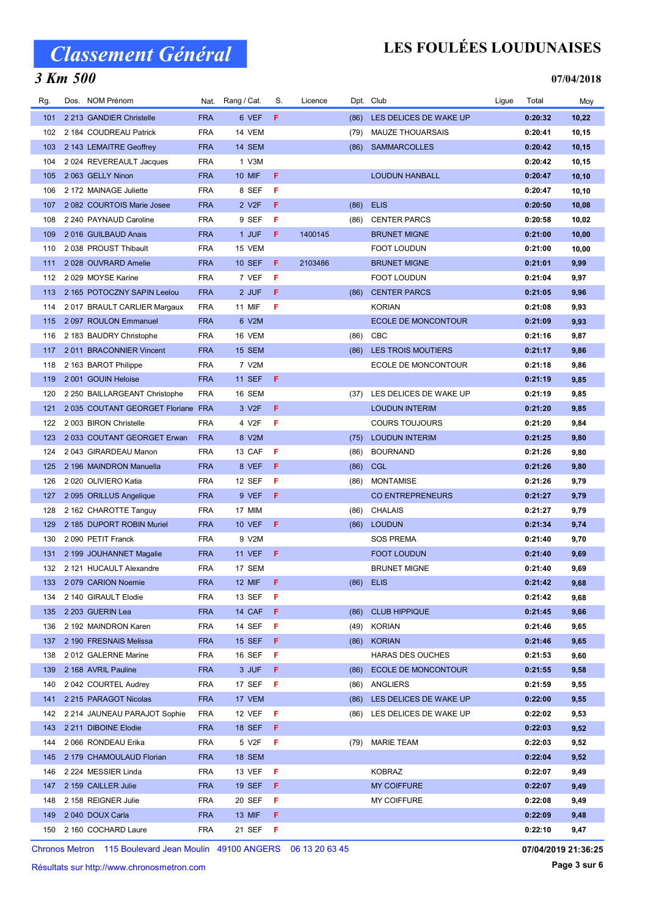### 3 Km 500

## LES FOULÉES LOUDUNAISES

#### 07/04/2018

| Rg. | Dos. NOM Prénom                   |            | Nat. Rang / Cat.   | S.  | Licence |      | Dpt. Club                   | Ligue | Total   | Moy    |
|-----|-----------------------------------|------------|--------------------|-----|---------|------|-----------------------------|-------|---------|--------|
| 101 | 2 213 GANDIER Christelle          | <b>FRA</b> | 6 VEF              | F   |         | (86) | LES DELICES DE WAKE UP      |       | 0:20:32 | 10,22  |
| 102 | 2 184 COUDREAU Patrick            | <b>FRA</b> | 14 VEM             |     |         | (79) | <b>MAUZE THOUARSAIS</b>     |       | 0:20:41 | 10,15  |
| 103 | 2 143 LEMAITRE Geoffrey           | <b>FRA</b> | 14 SEM             |     |         | (86) | <b>SAMMARCOLLES</b>         |       | 0:20:42 | 10, 15 |
| 104 | 2 024 REVEREAULT Jacques          | <b>FRA</b> | 1 V3M              |     |         |      |                             |       | 0:20:42 | 10,15  |
| 105 | 2063 GELLY Ninon                  | <b>FRA</b> | <b>10 MIF</b>      | F.  |         |      | <b>LOUDUN HANBALL</b>       |       | 0:20:47 | 10, 10 |
| 106 | 2 172 MAINAGE Juliette            | <b>FRA</b> | 8 SEF              | F   |         |      |                             |       | 0:20:47 | 10,10  |
| 107 | 2082 COURTOIS Marie Josee         | <b>FRA</b> | 2 V <sub>2</sub> F | F.  |         | (86) | <b>ELIS</b>                 |       | 0:20:50 | 10,08  |
| 108 | 2 240 PAYNAUD Caroline            | <b>FRA</b> | 9 SEF              | F   |         | (86) | <b>CENTER PARCS</b>         |       | 0:20:58 | 10,02  |
| 109 | 2016 GUILBAUD Anais               | <b>FRA</b> | 1 JUF              | F.  | 1400145 |      | <b>BRUNET MIGNE</b>         |       | 0:21:00 | 10,00  |
| 110 | 2 038 PROUST Thibault             | <b>FRA</b> | 15 VEM             |     |         |      | <b>FOOT LOUDUN</b>          |       | 0:21:00 | 10,00  |
| 111 | 2028 OUVRARD Amelie               | <b>FRA</b> | 10 SEF             | F   | 2103486 |      | <b>BRUNET MIGNE</b>         |       | 0:21:01 | 9,99   |
| 112 | 2029 MOYSE Karine                 | <b>FRA</b> | 7 VEF              | F   |         |      | <b>FOOT LOUDUN</b>          |       | 0:21:04 | 9,97   |
| 113 | 2 165 POTOCZNY SAPIN Leelou       | <b>FRA</b> | 2 JUF              | F.  |         | (86) | <b>CENTER PARCS</b>         |       | 0:21:05 | 9,96   |
| 114 | 2017 BRAULT CARLIER Margaux       | <b>FRA</b> | 11 MIF             | F   |         |      | <b>KORIAN</b>               |       | 0:21:08 | 9,93   |
| 115 | 2097 ROULON Emmanuel              | <b>FRA</b> | 6 V2M              |     |         |      | <b>ECOLE DE MONCONTOUR</b>  |       | 0:21:09 | 9,93   |
| 116 | 2 183 BAUDRY Christophe           | <b>FRA</b> | 16 VEM             |     |         | (86) | CBC                         |       | 0:21:16 | 9,87   |
| 117 | 2011 BRACONNIER Vincent           | <b>FRA</b> | 15 SEM             |     |         | (86) | <b>LES TROIS MOUTIERS</b>   |       | 0:21:17 | 9,86   |
| 118 | 2 163 BAROT Philippe              | <b>FRA</b> | 7 V2M              |     |         |      | <b>ECOLE DE MONCONTOUR</b>  |       | 0:21:18 | 9,86   |
| 119 | 2001 GOUIN Heloise                | <b>FRA</b> | <b>11 SEF</b>      | F   |         |      |                             |       | 0:21:19 | 9,85   |
| 120 | 2 250 BAILLARGEANT Christophe     | <b>FRA</b> | 16 SEM             |     |         |      | (37) LES DELICES DE WAKE UP |       | 0:21:19 | 9,85   |
| 121 | 2035 COUTANT GEORGET Floriane FRA |            | 3 V <sub>2</sub> F | F   |         |      | <b>LOUDUN INTERIM</b>       |       | 0:21:20 | 9,85   |
| 122 | 2 003 BIRON Christelle            | <b>FRA</b> | 4 V2F              | F   |         |      | <b>COURS TOUJOURS</b>       |       | 0:21:20 | 9,84   |
| 123 | 2033 COUTANT GEORGET Erwan        | <b>FRA</b> | 8 V2M              |     |         | (75) | <b>LOUDUN INTERIM</b>       |       | 0:21:25 | 9,80   |
| 124 | 2043 GIRARDEAU Manon              | <b>FRA</b> | 13 CAF             | F   |         | (86) | <b>BOURNAND</b>             |       | 0:21:26 | 9,80   |
| 125 | 2 196 MAINDRON Manuella           | <b>FRA</b> | 8 VEF              | F   |         | (86) | <b>CGL</b>                  |       | 0:21:26 | 9,80   |
| 126 | 2020 OLIVIERO Katia               | <b>FRA</b> | 12 SEF             | F   |         | (86) | <b>MONTAMISE</b>            |       | 0:21:26 | 9,79   |
| 127 | 2 095 ORILLUS Angelique           | <b>FRA</b> | 9 VEF              | F   |         |      | <b>CO ENTREPRENEURS</b>     |       | 0:21:27 | 9,79   |
| 128 | 2 162 CHAROTTE Tanguy             | <b>FRA</b> | 17 MIM             |     |         | (86) | <b>CHALAIS</b>              |       | 0:21:27 | 9,79   |
| 129 | 2 185 DUPORT ROBIN Muriel         | <b>FRA</b> | <b>10 VEF</b>      | F.  |         | (86) | <b>LOUDUN</b>               |       | 0:21:34 | 9,74   |
| 130 | 2 090 PETIT Franck                | <b>FRA</b> | 9 V2M              |     |         |      | <b>SOS PREMA</b>            |       | 0:21:40 | 9,70   |
| 131 | 2 199 JOUHANNET Magalie           | <b>FRA</b> | <b>11 VEF</b>      | F   |         |      | <b>FOOT LOUDUN</b>          |       | 0:21:40 | 9,69   |
| 132 | 2 121 HUCAULT Alexandre           | <b>FRA</b> | 17 SEM             |     |         |      | <b>BRUNET MIGNE</b>         |       | 0:21:40 | 9,69   |
|     | 133 2 079 CARION Noemie           | <b>FRA</b> | 12 MIF $F$         |     |         |      | $(86)$ ELIS                 |       | 0:21:42 | 9,68   |
| 134 | 2 140 GIRAULT Elodie              | <b>FRA</b> | 13 SEF             | F   |         |      |                             |       | 0:21:42 | 9,68   |
| 135 | 2 203 GUERIN Lea                  | <b>FRA</b> | 14 CAF             | F.  |         | (86) | <b>CLUB HIPPIQUE</b>        |       | 0:21:45 | 9,66   |
| 136 | 2 192 MAINDRON Karen              | <b>FRA</b> | 14 SEF             | F   |         | (49) | <b>KORIAN</b>               |       | 0:21:46 | 9,65   |
| 137 | 2 190 FRESNAIS Melissa            | <b>FRA</b> | <b>15 SEF</b>      | F   |         | (86) | <b>KORIAN</b>               |       | 0:21:46 | 9,65   |
| 138 | 2012 GALERNE Marine               | <b>FRA</b> | 16 SEF             | F   |         |      | <b>HARAS DES OUCHES</b>     |       | 0:21:53 | 9,60   |
| 139 | 2 168 AVRIL Pauline               | <b>FRA</b> | 3 JUF              | F.  |         | (86) | <b>ECOLE DE MONCONTOUR</b>  |       | 0:21:55 | 9,58   |
| 140 | 2042 COURTEL Audrey               | <b>FRA</b> | 17 SEF             | - F |         | (86) | ANGLIERS                    |       | 0:21:59 | 9,55   |
| 141 | 2 215 PARAGOT Nicolas             | <b>FRA</b> | 17 VEM             |     |         | (86) | LES DELICES DE WAKE UP      |       | 0:22:00 | 9,55   |
| 142 | 2 214 JAUNEAU PARAJOT Sophie      | <b>FRA</b> | 12 VEF             | F   |         |      | (86) LES DELICES DE WAKE UP |       | 0:22:02 | 9,53   |
| 143 | 2 211 DIBOINE Elodie              | <b>FRA</b> | 18 SEF             | F.  |         |      |                             |       | 0:22:03 | 9,52   |
| 144 | 2066 RONDEAU Erika                | <b>FRA</b> | 5 V2F              | F   |         | (79) | <b>MARIE TEAM</b>           |       | 0:22:03 | 9,52   |
| 145 | 2 179 CHAMOULAUD Florian          | <b>FRA</b> | <b>18 SEM</b>      |     |         |      |                             |       | 0:22:04 | 9,52   |
| 146 | 2 224 MESSIER Linda               | <b>FRA</b> | 13 VEF             | F   |         |      | <b>KOBRAZ</b>               |       | 0:22:07 | 9,49   |
| 147 | 2 159 CAILLER Julie               | <b>FRA</b> | <b>19 SEF</b>      | F.  |         |      | <b>MY COIFFURE</b>          |       | 0:22:07 | 9,49   |
| 148 | 2 158 REIGNER Julie               | <b>FRA</b> | 20 SEF             | F.  |         |      | MY COIFFURE                 |       | 0:22:08 | 9,49   |
| 149 | 2 040 DOUX Carla                  | <b>FRA</b> | 13 MIF             | F.  |         |      |                             |       | 0:22:09 | 9,48   |
|     |                                   |            |                    |     |         |      |                             |       |         |        |
| 150 | 2 160 COCHARD Laure               | <b>FRA</b> | 21 SEF             | F   |         |      |                             |       | 0:22:10 | 9,47   |

Chronos Metron 115 Boulevard Jean Moulin 49100 ANGERS 06 13 20 63 45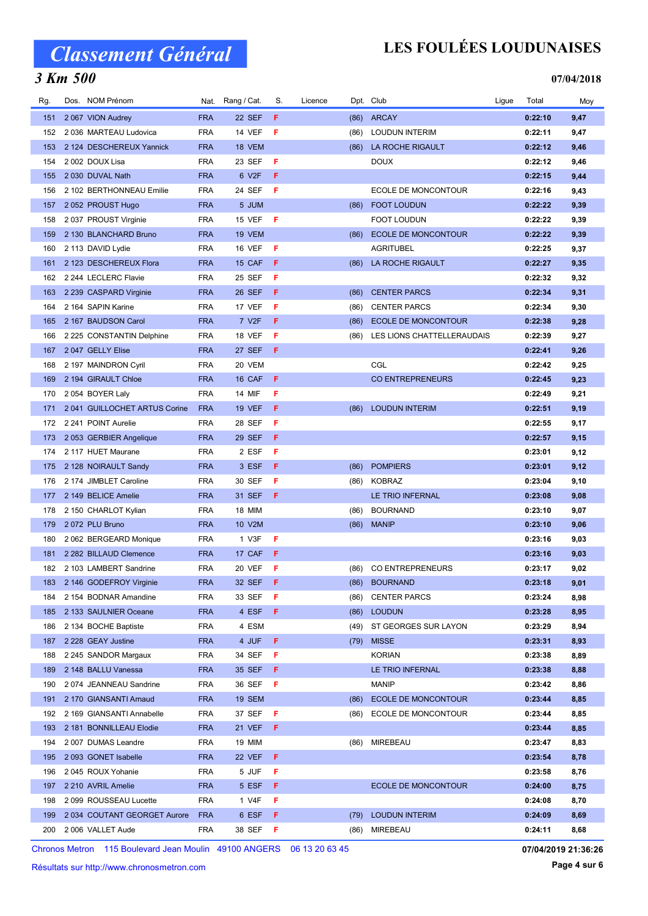### 3 Km 500

## LES FOULÉES LOUDUNAISES

#### 07/04/2018

| 22 SEF<br><b>ARCAY</b><br>151<br>2067 VION Audrey<br><b>FRA</b><br>F<br>(86)<br>0:22:10<br>9,47<br>F<br>152<br>2036 MARTEAU Ludovica<br><b>FRA</b><br><b>14 VEF</b><br>(86)<br><b>LOUDUN INTERIM</b><br>0:22:11<br>9,47<br>2 124 DESCHEREUX Yannick<br><b>FRA</b><br>18 VEM<br>LA ROCHE RIGAULT<br>0:22:12<br>9,46<br>153<br>(86)<br>2 002 DOUX Lisa<br><b>FRA</b><br>23 SEF<br>F<br><b>DOUX</b><br>0:22:12<br>9,46<br>154<br><b>FRA</b><br>6 V2F<br>F<br>2 030 DUVAL Nath<br>0:22:15<br>9,44<br>155<br>2 102 BERTHONNEAU Emilie<br><b>FRA</b><br>24 SEF<br>F<br>ECOLE DE MONCONTOUR<br>0:22:16<br>156<br>9,43<br><b>FRA</b><br>5 JUM<br>0:22:22<br>2052 PROUST Hugo<br><b>FOOT LOUDUN</b><br>9,39<br>157<br>(86)<br><b>FRA</b><br>15 VEF<br><b>FOOT LOUDUN</b><br>2037 PROUST Virginie<br>F<br>0:22:22<br>9,39<br>158<br><b>FRA</b><br>19 VEM<br>0:22:22<br>9,39<br>159<br>2 130 BLANCHARD Bruno<br><b>ECOLE DE MONCONTOUR</b><br>(86)<br><b>FRA</b><br>16 VEF<br>F<br><b>AGRITUBEL</b><br>160<br>2 113 DAVID Lydie<br>0:22:25<br>9,37<br><b>FRA</b><br>161<br>2 123 DESCHEREUX Flora<br>15 CAF<br>F<br>(86)<br>LA ROCHE RIGAULT<br>0:22:27<br>9,35<br>9,32<br>2 244 LECLERC Flavie<br><b>FRA</b><br>25 SEF<br>F<br>0:22:32<br>162<br><b>FRA</b><br>F<br>2 239 CASPARD Virginie<br>26 SEF<br><b>CENTER PARCS</b><br>0:22:34<br>9,31<br>163<br>(86)<br>2 164 SAPIN Karine<br><b>FRA</b><br>17 VEF<br>F<br><b>CENTER PARCS</b><br>0:22:34<br>9,30<br>164<br>(86)<br>2 167 BAUDSON Carol<br><b>FRA</b><br>7 V2F<br>F<br><b>ECOLE DE MONCONTOUR</b><br>0:22:38<br>165<br>(86)<br>9,28<br><b>FRA</b><br>F<br>18 VEF<br>LES LIONS CHATTELLERAUDAIS<br>0:22:39<br>166<br>2 225 CONSTANTIN Delphine<br>(86)<br>9,27<br><b>27 SEF</b><br>F<br>2047 GELLY Elise<br><b>FRA</b><br>0:22:41<br>9,26<br>167<br><b>FRA</b><br>20 VEM<br>CGL<br>0:22:42<br>9,25<br>2 197 MAINDRON Cyril<br>168<br>16 CAF<br>F<br>169<br>2 194 GIRAULT Chloe<br><b>FRA</b><br><b>CO ENTREPRENEURS</b><br>0:22:45<br>9,23<br><b>FRA</b><br>F<br>170<br>2 054 BOYER Laly<br>14 MIF<br>0:22:49<br>9,21<br>2041 GUILLOCHET ARTUS Corine<br><b>FRA</b><br><b>19 VEF</b><br>F<br><b>LOUDUN INTERIM</b><br>0:22:51<br>171<br>(86)<br>9,19<br>2 241 POINT Aurelie<br><b>FRA</b><br>28 SEF<br>F<br>0:22:55<br>172<br>9,17<br>2053 GERBIER Angelique<br><b>FRA</b><br>29 SEF<br>F<br>0:22:57<br>9,15<br>173<br>2 ESF<br>F<br>2 117 HUET Maurane<br><b>FRA</b><br>0:23:01<br>174<br>9,12<br>3 ESF<br>F<br><b>POMPIERS</b><br>2 128 NOIRAULT Sandy<br><b>FRA</b><br>0:23:01<br>9,12<br>175<br>(86)<br><b>FRA</b><br>F<br><b>KOBRAZ</b><br>9,10<br>2 174 JIMBLET Caroline<br>30 SEF<br>0:23:04<br>176<br>(86)<br><b>FRA</b><br>31 SEF<br>F<br>2 149 BELICE Amelie<br>LE TRIO INFERNAL<br>0:23:08<br>177<br>9,08<br>2 150 CHARLOT Kylian<br><b>FRA</b><br><b>18 MIM</b><br><b>BOURNAND</b><br>0:23:10<br>9,07<br>178<br>(86)<br>2072 PLU Bruno<br><b>FRA</b><br>10 V2M<br>179<br>(86)<br><b>MANIP</b><br>0:23:10<br>9,06<br>2 062 BERGEARD Monique<br><b>FRA</b><br>1 V3F<br>F<br>0:23:16<br>9,03<br>180<br><b>FRA</b><br>17 CAF<br>F<br>9,03<br>181<br>2 282 BILLAUD Clemence<br>0:23:16<br>2 103 LAMBERT Sandrine<br><b>FRA</b><br>20 VEF<br>F<br><b>CO ENTREPRENEURS</b><br>0:23:17<br>9,02<br>182<br>(86)<br><b>FRA</b><br>32 SEF F<br>0:23:18<br>9,01<br>183 2 146 GODEFROY Virginie<br>(86) BOURNAND<br>(86) CENTER PARCS<br>0:23:24<br>8,98<br>2 154 BODNAR Amandine<br>FRA<br>33 SEF<br>- F<br>184<br>2 133 SAULNIER Oceane<br><b>FRA</b><br>4 ESF<br>F.<br><b>LOUDUN</b><br>0:23:28<br>8,95<br>185<br>(86)<br>8,94<br>2 134 BOCHE Baptiste<br><b>FRA</b><br>4 ESM<br>(49) ST GEORGES SUR LAYON<br>0:23:29<br>186<br>4 JUF<br>0:23:31<br>187<br>2 228 GEAY Justine<br><b>FRA</b><br>F<br><b>MISSE</b><br>8,93<br>(79)<br><b>FRA</b><br>34 SEF<br>F<br><b>KORIAN</b><br>0:23:38<br>8,89<br>188<br>2 245 SANDOR Margaux<br>2 148 BALLU Vanessa<br><b>FRA</b><br>35 SEF<br>F.<br>LE TRIO INFERNAL<br>0:23:38<br>8,88<br>189<br><b>FRA</b><br>36 SEF <b>F</b><br><b>MANIP</b><br>0:23:42<br>8,86<br>190<br>2074 JEANNEAU Sandrine<br>2 170 GIANSANTI Arnaud<br><b>FRA</b><br><b>19 SEM</b><br><b>ECOLE DE MONCONTOUR</b><br>0:23:44<br>8,85<br>191<br>(86)<br>2 169 GIANSANTI Annabelle<br><b>FRA</b><br>37 SEF<br>-F<br>ECOLE DE MONCONTOUR<br>0:23:44<br>8,85<br>192<br>(86)<br><b>FRA</b><br><b>21 VEF</b><br>F.<br>0:23:44<br>8,85<br>193<br>2 181 BONNILLEAU Elodie<br>2 007 DUMAS Leandre<br><b>FRA</b><br>19 MIM<br>MIREBEAU<br>0:23:47<br>8,83<br>194<br>(86)<br><b>FRA</b><br>22 VEF<br>F<br>0:23:54<br>8,78<br>195<br>2093 GONET Isabelle<br>5 JUF<br>F<br>196<br>2045 ROUX Yohanie<br><b>FRA</b><br>0:23:58<br>8,76<br>2 210 AVRIL Amelie<br><b>FRA</b><br>5 ESF<br>F<br><b>ECOLE DE MONCONTOUR</b><br>0:24:00<br>8,75<br>197<br>2 099 ROUSSEAU Lucette<br><b>FRA</b><br>1 V4F<br>F<br>0:24:08<br>8,70<br>198<br>0:24:09<br>2 034 COUTANT GEORGET Aurore<br><b>FRA</b><br>6 ESF<br>F.<br><b>LOUDUN INTERIM</b><br>8,69<br>199<br>(79)<br>2 006 VALLET Aude<br>- F | Rg. | Dos. NOM Prénom | Nat.       | Rang / Cat. | S. | Licence |      | Dpt. Club | Ligue | Total   | Moy  |
|------------------------------------------------------------------------------------------------------------------------------------------------------------------------------------------------------------------------------------------------------------------------------------------------------------------------------------------------------------------------------------------------------------------------------------------------------------------------------------------------------------------------------------------------------------------------------------------------------------------------------------------------------------------------------------------------------------------------------------------------------------------------------------------------------------------------------------------------------------------------------------------------------------------------------------------------------------------------------------------------------------------------------------------------------------------------------------------------------------------------------------------------------------------------------------------------------------------------------------------------------------------------------------------------------------------------------------------------------------------------------------------------------------------------------------------------------------------------------------------------------------------------------------------------------------------------------------------------------------------------------------------------------------------------------------------------------------------------------------------------------------------------------------------------------------------------------------------------------------------------------------------------------------------------------------------------------------------------------------------------------------------------------------------------------------------------------------------------------------------------------------------------------------------------------------------------------------------------------------------------------------------------------------------------------------------------------------------------------------------------------------------------------------------------------------------------------------------------------------------------------------------------------------------------------------------------------------------------------------------------------------------------------------------------------------------------------------------------------------------------------------------------------------------------------------------------------------------------------------------------------------------------------------------------------------------------------------------------------------------------------------------------------------------------------------------------------------------------------------------------------------------------------------------------------------------------------------------------------------------------------------------------------------------------------------------------------------------------------------------------------------------------------------------------------------------------------------------------------------------------------------------------------------------------------------------------------------------------------------------------------------------------------------------------------------------------------------------------------------------------------------------------------------------------------------------------------------------------------------------------------------------------------------------------------------------------------------------------------------------------------------------------------------------------------------------------------------------------------------------------------------------------------------------------------------------------------------------------------------------------------------------------------------------------------------------------------------------------------------------------------------------------------------------------------------------------------------------------------------------------------------------------------------------------------------------------------------------------------------------------------------------------------------------------------------------------------------------------------------------------------------------------------------------------------------------------------------------------------------------------------------------------------------------------------------------------------------------------------------------------------------------------------------|-----|-----------------|------------|-------------|----|---------|------|-----------|-------|---------|------|
|                                                                                                                                                                                                                                                                                                                                                                                                                                                                                                                                                                                                                                                                                                                                                                                                                                                                                                                                                                                                                                                                                                                                                                                                                                                                                                                                                                                                                                                                                                                                                                                                                                                                                                                                                                                                                                                                                                                                                                                                                                                                                                                                                                                                                                                                                                                                                                                                                                                                                                                                                                                                                                                                                                                                                                                                                                                                                                                                                                                                                                                                                                                                                                                                                                                                                                                                                                                                                                                                                                                                                                                                                                                                                                                                                                                                                                                                                                                                                                                                                                                                                                                                                                                                                                                                                                                                                                                                                                                                                                                                                                                                                                                                                                                                                                                                                                                                                                                                                                                                                                    |     |                 |            |             |    |         |      |           |       |         |      |
|                                                                                                                                                                                                                                                                                                                                                                                                                                                                                                                                                                                                                                                                                                                                                                                                                                                                                                                                                                                                                                                                                                                                                                                                                                                                                                                                                                                                                                                                                                                                                                                                                                                                                                                                                                                                                                                                                                                                                                                                                                                                                                                                                                                                                                                                                                                                                                                                                                                                                                                                                                                                                                                                                                                                                                                                                                                                                                                                                                                                                                                                                                                                                                                                                                                                                                                                                                                                                                                                                                                                                                                                                                                                                                                                                                                                                                                                                                                                                                                                                                                                                                                                                                                                                                                                                                                                                                                                                                                                                                                                                                                                                                                                                                                                                                                                                                                                                                                                                                                                                                    |     |                 |            |             |    |         |      |           |       |         |      |
|                                                                                                                                                                                                                                                                                                                                                                                                                                                                                                                                                                                                                                                                                                                                                                                                                                                                                                                                                                                                                                                                                                                                                                                                                                                                                                                                                                                                                                                                                                                                                                                                                                                                                                                                                                                                                                                                                                                                                                                                                                                                                                                                                                                                                                                                                                                                                                                                                                                                                                                                                                                                                                                                                                                                                                                                                                                                                                                                                                                                                                                                                                                                                                                                                                                                                                                                                                                                                                                                                                                                                                                                                                                                                                                                                                                                                                                                                                                                                                                                                                                                                                                                                                                                                                                                                                                                                                                                                                                                                                                                                                                                                                                                                                                                                                                                                                                                                                                                                                                                                                    |     |                 |            |             |    |         |      |           |       |         |      |
|                                                                                                                                                                                                                                                                                                                                                                                                                                                                                                                                                                                                                                                                                                                                                                                                                                                                                                                                                                                                                                                                                                                                                                                                                                                                                                                                                                                                                                                                                                                                                                                                                                                                                                                                                                                                                                                                                                                                                                                                                                                                                                                                                                                                                                                                                                                                                                                                                                                                                                                                                                                                                                                                                                                                                                                                                                                                                                                                                                                                                                                                                                                                                                                                                                                                                                                                                                                                                                                                                                                                                                                                                                                                                                                                                                                                                                                                                                                                                                                                                                                                                                                                                                                                                                                                                                                                                                                                                                                                                                                                                                                                                                                                                                                                                                                                                                                                                                                                                                                                                                    |     |                 |            |             |    |         |      |           |       |         |      |
|                                                                                                                                                                                                                                                                                                                                                                                                                                                                                                                                                                                                                                                                                                                                                                                                                                                                                                                                                                                                                                                                                                                                                                                                                                                                                                                                                                                                                                                                                                                                                                                                                                                                                                                                                                                                                                                                                                                                                                                                                                                                                                                                                                                                                                                                                                                                                                                                                                                                                                                                                                                                                                                                                                                                                                                                                                                                                                                                                                                                                                                                                                                                                                                                                                                                                                                                                                                                                                                                                                                                                                                                                                                                                                                                                                                                                                                                                                                                                                                                                                                                                                                                                                                                                                                                                                                                                                                                                                                                                                                                                                                                                                                                                                                                                                                                                                                                                                                                                                                                                                    |     |                 |            |             |    |         |      |           |       |         |      |
|                                                                                                                                                                                                                                                                                                                                                                                                                                                                                                                                                                                                                                                                                                                                                                                                                                                                                                                                                                                                                                                                                                                                                                                                                                                                                                                                                                                                                                                                                                                                                                                                                                                                                                                                                                                                                                                                                                                                                                                                                                                                                                                                                                                                                                                                                                                                                                                                                                                                                                                                                                                                                                                                                                                                                                                                                                                                                                                                                                                                                                                                                                                                                                                                                                                                                                                                                                                                                                                                                                                                                                                                                                                                                                                                                                                                                                                                                                                                                                                                                                                                                                                                                                                                                                                                                                                                                                                                                                                                                                                                                                                                                                                                                                                                                                                                                                                                                                                                                                                                                                    |     |                 |            |             |    |         |      |           |       |         |      |
|                                                                                                                                                                                                                                                                                                                                                                                                                                                                                                                                                                                                                                                                                                                                                                                                                                                                                                                                                                                                                                                                                                                                                                                                                                                                                                                                                                                                                                                                                                                                                                                                                                                                                                                                                                                                                                                                                                                                                                                                                                                                                                                                                                                                                                                                                                                                                                                                                                                                                                                                                                                                                                                                                                                                                                                                                                                                                                                                                                                                                                                                                                                                                                                                                                                                                                                                                                                                                                                                                                                                                                                                                                                                                                                                                                                                                                                                                                                                                                                                                                                                                                                                                                                                                                                                                                                                                                                                                                                                                                                                                                                                                                                                                                                                                                                                                                                                                                                                                                                                                                    |     |                 |            |             |    |         |      |           |       |         |      |
|                                                                                                                                                                                                                                                                                                                                                                                                                                                                                                                                                                                                                                                                                                                                                                                                                                                                                                                                                                                                                                                                                                                                                                                                                                                                                                                                                                                                                                                                                                                                                                                                                                                                                                                                                                                                                                                                                                                                                                                                                                                                                                                                                                                                                                                                                                                                                                                                                                                                                                                                                                                                                                                                                                                                                                                                                                                                                                                                                                                                                                                                                                                                                                                                                                                                                                                                                                                                                                                                                                                                                                                                                                                                                                                                                                                                                                                                                                                                                                                                                                                                                                                                                                                                                                                                                                                                                                                                                                                                                                                                                                                                                                                                                                                                                                                                                                                                                                                                                                                                                                    |     |                 |            |             |    |         |      |           |       |         |      |
|                                                                                                                                                                                                                                                                                                                                                                                                                                                                                                                                                                                                                                                                                                                                                                                                                                                                                                                                                                                                                                                                                                                                                                                                                                                                                                                                                                                                                                                                                                                                                                                                                                                                                                                                                                                                                                                                                                                                                                                                                                                                                                                                                                                                                                                                                                                                                                                                                                                                                                                                                                                                                                                                                                                                                                                                                                                                                                                                                                                                                                                                                                                                                                                                                                                                                                                                                                                                                                                                                                                                                                                                                                                                                                                                                                                                                                                                                                                                                                                                                                                                                                                                                                                                                                                                                                                                                                                                                                                                                                                                                                                                                                                                                                                                                                                                                                                                                                                                                                                                                                    |     |                 |            |             |    |         |      |           |       |         |      |
|                                                                                                                                                                                                                                                                                                                                                                                                                                                                                                                                                                                                                                                                                                                                                                                                                                                                                                                                                                                                                                                                                                                                                                                                                                                                                                                                                                                                                                                                                                                                                                                                                                                                                                                                                                                                                                                                                                                                                                                                                                                                                                                                                                                                                                                                                                                                                                                                                                                                                                                                                                                                                                                                                                                                                                                                                                                                                                                                                                                                                                                                                                                                                                                                                                                                                                                                                                                                                                                                                                                                                                                                                                                                                                                                                                                                                                                                                                                                                                                                                                                                                                                                                                                                                                                                                                                                                                                                                                                                                                                                                                                                                                                                                                                                                                                                                                                                                                                                                                                                                                    |     |                 |            |             |    |         |      |           |       |         |      |
|                                                                                                                                                                                                                                                                                                                                                                                                                                                                                                                                                                                                                                                                                                                                                                                                                                                                                                                                                                                                                                                                                                                                                                                                                                                                                                                                                                                                                                                                                                                                                                                                                                                                                                                                                                                                                                                                                                                                                                                                                                                                                                                                                                                                                                                                                                                                                                                                                                                                                                                                                                                                                                                                                                                                                                                                                                                                                                                                                                                                                                                                                                                                                                                                                                                                                                                                                                                                                                                                                                                                                                                                                                                                                                                                                                                                                                                                                                                                                                                                                                                                                                                                                                                                                                                                                                                                                                                                                                                                                                                                                                                                                                                                                                                                                                                                                                                                                                                                                                                                                                    |     |                 |            |             |    |         |      |           |       |         |      |
|                                                                                                                                                                                                                                                                                                                                                                                                                                                                                                                                                                                                                                                                                                                                                                                                                                                                                                                                                                                                                                                                                                                                                                                                                                                                                                                                                                                                                                                                                                                                                                                                                                                                                                                                                                                                                                                                                                                                                                                                                                                                                                                                                                                                                                                                                                                                                                                                                                                                                                                                                                                                                                                                                                                                                                                                                                                                                                                                                                                                                                                                                                                                                                                                                                                                                                                                                                                                                                                                                                                                                                                                                                                                                                                                                                                                                                                                                                                                                                                                                                                                                                                                                                                                                                                                                                                                                                                                                                                                                                                                                                                                                                                                                                                                                                                                                                                                                                                                                                                                                                    |     |                 |            |             |    |         |      |           |       |         |      |
|                                                                                                                                                                                                                                                                                                                                                                                                                                                                                                                                                                                                                                                                                                                                                                                                                                                                                                                                                                                                                                                                                                                                                                                                                                                                                                                                                                                                                                                                                                                                                                                                                                                                                                                                                                                                                                                                                                                                                                                                                                                                                                                                                                                                                                                                                                                                                                                                                                                                                                                                                                                                                                                                                                                                                                                                                                                                                                                                                                                                                                                                                                                                                                                                                                                                                                                                                                                                                                                                                                                                                                                                                                                                                                                                                                                                                                                                                                                                                                                                                                                                                                                                                                                                                                                                                                                                                                                                                                                                                                                                                                                                                                                                                                                                                                                                                                                                                                                                                                                                                                    |     |                 |            |             |    |         |      |           |       |         |      |
|                                                                                                                                                                                                                                                                                                                                                                                                                                                                                                                                                                                                                                                                                                                                                                                                                                                                                                                                                                                                                                                                                                                                                                                                                                                                                                                                                                                                                                                                                                                                                                                                                                                                                                                                                                                                                                                                                                                                                                                                                                                                                                                                                                                                                                                                                                                                                                                                                                                                                                                                                                                                                                                                                                                                                                                                                                                                                                                                                                                                                                                                                                                                                                                                                                                                                                                                                                                                                                                                                                                                                                                                                                                                                                                                                                                                                                                                                                                                                                                                                                                                                                                                                                                                                                                                                                                                                                                                                                                                                                                                                                                                                                                                                                                                                                                                                                                                                                                                                                                                                                    |     |                 |            |             |    |         |      |           |       |         |      |
|                                                                                                                                                                                                                                                                                                                                                                                                                                                                                                                                                                                                                                                                                                                                                                                                                                                                                                                                                                                                                                                                                                                                                                                                                                                                                                                                                                                                                                                                                                                                                                                                                                                                                                                                                                                                                                                                                                                                                                                                                                                                                                                                                                                                                                                                                                                                                                                                                                                                                                                                                                                                                                                                                                                                                                                                                                                                                                                                                                                                                                                                                                                                                                                                                                                                                                                                                                                                                                                                                                                                                                                                                                                                                                                                                                                                                                                                                                                                                                                                                                                                                                                                                                                                                                                                                                                                                                                                                                                                                                                                                                                                                                                                                                                                                                                                                                                                                                                                                                                                                                    |     |                 |            |             |    |         |      |           |       |         |      |
|                                                                                                                                                                                                                                                                                                                                                                                                                                                                                                                                                                                                                                                                                                                                                                                                                                                                                                                                                                                                                                                                                                                                                                                                                                                                                                                                                                                                                                                                                                                                                                                                                                                                                                                                                                                                                                                                                                                                                                                                                                                                                                                                                                                                                                                                                                                                                                                                                                                                                                                                                                                                                                                                                                                                                                                                                                                                                                                                                                                                                                                                                                                                                                                                                                                                                                                                                                                                                                                                                                                                                                                                                                                                                                                                                                                                                                                                                                                                                                                                                                                                                                                                                                                                                                                                                                                                                                                                                                                                                                                                                                                                                                                                                                                                                                                                                                                                                                                                                                                                                                    |     |                 |            |             |    |         |      |           |       |         |      |
|                                                                                                                                                                                                                                                                                                                                                                                                                                                                                                                                                                                                                                                                                                                                                                                                                                                                                                                                                                                                                                                                                                                                                                                                                                                                                                                                                                                                                                                                                                                                                                                                                                                                                                                                                                                                                                                                                                                                                                                                                                                                                                                                                                                                                                                                                                                                                                                                                                                                                                                                                                                                                                                                                                                                                                                                                                                                                                                                                                                                                                                                                                                                                                                                                                                                                                                                                                                                                                                                                                                                                                                                                                                                                                                                                                                                                                                                                                                                                                                                                                                                                                                                                                                                                                                                                                                                                                                                                                                                                                                                                                                                                                                                                                                                                                                                                                                                                                                                                                                                                                    |     |                 |            |             |    |         |      |           |       |         |      |
|                                                                                                                                                                                                                                                                                                                                                                                                                                                                                                                                                                                                                                                                                                                                                                                                                                                                                                                                                                                                                                                                                                                                                                                                                                                                                                                                                                                                                                                                                                                                                                                                                                                                                                                                                                                                                                                                                                                                                                                                                                                                                                                                                                                                                                                                                                                                                                                                                                                                                                                                                                                                                                                                                                                                                                                                                                                                                                                                                                                                                                                                                                                                                                                                                                                                                                                                                                                                                                                                                                                                                                                                                                                                                                                                                                                                                                                                                                                                                                                                                                                                                                                                                                                                                                                                                                                                                                                                                                                                                                                                                                                                                                                                                                                                                                                                                                                                                                                                                                                                                                    |     |                 |            |             |    |         |      |           |       |         |      |
|                                                                                                                                                                                                                                                                                                                                                                                                                                                                                                                                                                                                                                                                                                                                                                                                                                                                                                                                                                                                                                                                                                                                                                                                                                                                                                                                                                                                                                                                                                                                                                                                                                                                                                                                                                                                                                                                                                                                                                                                                                                                                                                                                                                                                                                                                                                                                                                                                                                                                                                                                                                                                                                                                                                                                                                                                                                                                                                                                                                                                                                                                                                                                                                                                                                                                                                                                                                                                                                                                                                                                                                                                                                                                                                                                                                                                                                                                                                                                                                                                                                                                                                                                                                                                                                                                                                                                                                                                                                                                                                                                                                                                                                                                                                                                                                                                                                                                                                                                                                                                                    |     |                 |            |             |    |         |      |           |       |         |      |
|                                                                                                                                                                                                                                                                                                                                                                                                                                                                                                                                                                                                                                                                                                                                                                                                                                                                                                                                                                                                                                                                                                                                                                                                                                                                                                                                                                                                                                                                                                                                                                                                                                                                                                                                                                                                                                                                                                                                                                                                                                                                                                                                                                                                                                                                                                                                                                                                                                                                                                                                                                                                                                                                                                                                                                                                                                                                                                                                                                                                                                                                                                                                                                                                                                                                                                                                                                                                                                                                                                                                                                                                                                                                                                                                                                                                                                                                                                                                                                                                                                                                                                                                                                                                                                                                                                                                                                                                                                                                                                                                                                                                                                                                                                                                                                                                                                                                                                                                                                                                                                    |     |                 |            |             |    |         |      |           |       |         |      |
|                                                                                                                                                                                                                                                                                                                                                                                                                                                                                                                                                                                                                                                                                                                                                                                                                                                                                                                                                                                                                                                                                                                                                                                                                                                                                                                                                                                                                                                                                                                                                                                                                                                                                                                                                                                                                                                                                                                                                                                                                                                                                                                                                                                                                                                                                                                                                                                                                                                                                                                                                                                                                                                                                                                                                                                                                                                                                                                                                                                                                                                                                                                                                                                                                                                                                                                                                                                                                                                                                                                                                                                                                                                                                                                                                                                                                                                                                                                                                                                                                                                                                                                                                                                                                                                                                                                                                                                                                                                                                                                                                                                                                                                                                                                                                                                                                                                                                                                                                                                                                                    |     |                 |            |             |    |         |      |           |       |         |      |
|                                                                                                                                                                                                                                                                                                                                                                                                                                                                                                                                                                                                                                                                                                                                                                                                                                                                                                                                                                                                                                                                                                                                                                                                                                                                                                                                                                                                                                                                                                                                                                                                                                                                                                                                                                                                                                                                                                                                                                                                                                                                                                                                                                                                                                                                                                                                                                                                                                                                                                                                                                                                                                                                                                                                                                                                                                                                                                                                                                                                                                                                                                                                                                                                                                                                                                                                                                                                                                                                                                                                                                                                                                                                                                                                                                                                                                                                                                                                                                                                                                                                                                                                                                                                                                                                                                                                                                                                                                                                                                                                                                                                                                                                                                                                                                                                                                                                                                                                                                                                                                    |     |                 |            |             |    |         |      |           |       |         |      |
|                                                                                                                                                                                                                                                                                                                                                                                                                                                                                                                                                                                                                                                                                                                                                                                                                                                                                                                                                                                                                                                                                                                                                                                                                                                                                                                                                                                                                                                                                                                                                                                                                                                                                                                                                                                                                                                                                                                                                                                                                                                                                                                                                                                                                                                                                                                                                                                                                                                                                                                                                                                                                                                                                                                                                                                                                                                                                                                                                                                                                                                                                                                                                                                                                                                                                                                                                                                                                                                                                                                                                                                                                                                                                                                                                                                                                                                                                                                                                                                                                                                                                                                                                                                                                                                                                                                                                                                                                                                                                                                                                                                                                                                                                                                                                                                                                                                                                                                                                                                                                                    |     |                 |            |             |    |         |      |           |       |         |      |
|                                                                                                                                                                                                                                                                                                                                                                                                                                                                                                                                                                                                                                                                                                                                                                                                                                                                                                                                                                                                                                                                                                                                                                                                                                                                                                                                                                                                                                                                                                                                                                                                                                                                                                                                                                                                                                                                                                                                                                                                                                                                                                                                                                                                                                                                                                                                                                                                                                                                                                                                                                                                                                                                                                                                                                                                                                                                                                                                                                                                                                                                                                                                                                                                                                                                                                                                                                                                                                                                                                                                                                                                                                                                                                                                                                                                                                                                                                                                                                                                                                                                                                                                                                                                                                                                                                                                                                                                                                                                                                                                                                                                                                                                                                                                                                                                                                                                                                                                                                                                                                    |     |                 |            |             |    |         |      |           |       |         |      |
|                                                                                                                                                                                                                                                                                                                                                                                                                                                                                                                                                                                                                                                                                                                                                                                                                                                                                                                                                                                                                                                                                                                                                                                                                                                                                                                                                                                                                                                                                                                                                                                                                                                                                                                                                                                                                                                                                                                                                                                                                                                                                                                                                                                                                                                                                                                                                                                                                                                                                                                                                                                                                                                                                                                                                                                                                                                                                                                                                                                                                                                                                                                                                                                                                                                                                                                                                                                                                                                                                                                                                                                                                                                                                                                                                                                                                                                                                                                                                                                                                                                                                                                                                                                                                                                                                                                                                                                                                                                                                                                                                                                                                                                                                                                                                                                                                                                                                                                                                                                                                                    |     |                 |            |             |    |         |      |           |       |         |      |
|                                                                                                                                                                                                                                                                                                                                                                                                                                                                                                                                                                                                                                                                                                                                                                                                                                                                                                                                                                                                                                                                                                                                                                                                                                                                                                                                                                                                                                                                                                                                                                                                                                                                                                                                                                                                                                                                                                                                                                                                                                                                                                                                                                                                                                                                                                                                                                                                                                                                                                                                                                                                                                                                                                                                                                                                                                                                                                                                                                                                                                                                                                                                                                                                                                                                                                                                                                                                                                                                                                                                                                                                                                                                                                                                                                                                                                                                                                                                                                                                                                                                                                                                                                                                                                                                                                                                                                                                                                                                                                                                                                                                                                                                                                                                                                                                                                                                                                                                                                                                                                    |     |                 |            |             |    |         |      |           |       |         |      |
|                                                                                                                                                                                                                                                                                                                                                                                                                                                                                                                                                                                                                                                                                                                                                                                                                                                                                                                                                                                                                                                                                                                                                                                                                                                                                                                                                                                                                                                                                                                                                                                                                                                                                                                                                                                                                                                                                                                                                                                                                                                                                                                                                                                                                                                                                                                                                                                                                                                                                                                                                                                                                                                                                                                                                                                                                                                                                                                                                                                                                                                                                                                                                                                                                                                                                                                                                                                                                                                                                                                                                                                                                                                                                                                                                                                                                                                                                                                                                                                                                                                                                                                                                                                                                                                                                                                                                                                                                                                                                                                                                                                                                                                                                                                                                                                                                                                                                                                                                                                                                                    |     |                 |            |             |    |         |      |           |       |         |      |
|                                                                                                                                                                                                                                                                                                                                                                                                                                                                                                                                                                                                                                                                                                                                                                                                                                                                                                                                                                                                                                                                                                                                                                                                                                                                                                                                                                                                                                                                                                                                                                                                                                                                                                                                                                                                                                                                                                                                                                                                                                                                                                                                                                                                                                                                                                                                                                                                                                                                                                                                                                                                                                                                                                                                                                                                                                                                                                                                                                                                                                                                                                                                                                                                                                                                                                                                                                                                                                                                                                                                                                                                                                                                                                                                                                                                                                                                                                                                                                                                                                                                                                                                                                                                                                                                                                                                                                                                                                                                                                                                                                                                                                                                                                                                                                                                                                                                                                                                                                                                                                    |     |                 |            |             |    |         |      |           |       |         |      |
|                                                                                                                                                                                                                                                                                                                                                                                                                                                                                                                                                                                                                                                                                                                                                                                                                                                                                                                                                                                                                                                                                                                                                                                                                                                                                                                                                                                                                                                                                                                                                                                                                                                                                                                                                                                                                                                                                                                                                                                                                                                                                                                                                                                                                                                                                                                                                                                                                                                                                                                                                                                                                                                                                                                                                                                                                                                                                                                                                                                                                                                                                                                                                                                                                                                                                                                                                                                                                                                                                                                                                                                                                                                                                                                                                                                                                                                                                                                                                                                                                                                                                                                                                                                                                                                                                                                                                                                                                                                                                                                                                                                                                                                                                                                                                                                                                                                                                                                                                                                                                                    |     |                 |            |             |    |         |      |           |       |         |      |
|                                                                                                                                                                                                                                                                                                                                                                                                                                                                                                                                                                                                                                                                                                                                                                                                                                                                                                                                                                                                                                                                                                                                                                                                                                                                                                                                                                                                                                                                                                                                                                                                                                                                                                                                                                                                                                                                                                                                                                                                                                                                                                                                                                                                                                                                                                                                                                                                                                                                                                                                                                                                                                                                                                                                                                                                                                                                                                                                                                                                                                                                                                                                                                                                                                                                                                                                                                                                                                                                                                                                                                                                                                                                                                                                                                                                                                                                                                                                                                                                                                                                                                                                                                                                                                                                                                                                                                                                                                                                                                                                                                                                                                                                                                                                                                                                                                                                                                                                                                                                                                    |     |                 |            |             |    |         |      |           |       |         |      |
|                                                                                                                                                                                                                                                                                                                                                                                                                                                                                                                                                                                                                                                                                                                                                                                                                                                                                                                                                                                                                                                                                                                                                                                                                                                                                                                                                                                                                                                                                                                                                                                                                                                                                                                                                                                                                                                                                                                                                                                                                                                                                                                                                                                                                                                                                                                                                                                                                                                                                                                                                                                                                                                                                                                                                                                                                                                                                                                                                                                                                                                                                                                                                                                                                                                                                                                                                                                                                                                                                                                                                                                                                                                                                                                                                                                                                                                                                                                                                                                                                                                                                                                                                                                                                                                                                                                                                                                                                                                                                                                                                                                                                                                                                                                                                                                                                                                                                                                                                                                                                                    |     |                 |            |             |    |         |      |           |       |         |      |
|                                                                                                                                                                                                                                                                                                                                                                                                                                                                                                                                                                                                                                                                                                                                                                                                                                                                                                                                                                                                                                                                                                                                                                                                                                                                                                                                                                                                                                                                                                                                                                                                                                                                                                                                                                                                                                                                                                                                                                                                                                                                                                                                                                                                                                                                                                                                                                                                                                                                                                                                                                                                                                                                                                                                                                                                                                                                                                                                                                                                                                                                                                                                                                                                                                                                                                                                                                                                                                                                                                                                                                                                                                                                                                                                                                                                                                                                                                                                                                                                                                                                                                                                                                                                                                                                                                                                                                                                                                                                                                                                                                                                                                                                                                                                                                                                                                                                                                                                                                                                                                    |     |                 |            |             |    |         |      |           |       |         |      |
|                                                                                                                                                                                                                                                                                                                                                                                                                                                                                                                                                                                                                                                                                                                                                                                                                                                                                                                                                                                                                                                                                                                                                                                                                                                                                                                                                                                                                                                                                                                                                                                                                                                                                                                                                                                                                                                                                                                                                                                                                                                                                                                                                                                                                                                                                                                                                                                                                                                                                                                                                                                                                                                                                                                                                                                                                                                                                                                                                                                                                                                                                                                                                                                                                                                                                                                                                                                                                                                                                                                                                                                                                                                                                                                                                                                                                                                                                                                                                                                                                                                                                                                                                                                                                                                                                                                                                                                                                                                                                                                                                                                                                                                                                                                                                                                                                                                                                                                                                                                                                                    |     |                 |            |             |    |         |      |           |       |         |      |
|                                                                                                                                                                                                                                                                                                                                                                                                                                                                                                                                                                                                                                                                                                                                                                                                                                                                                                                                                                                                                                                                                                                                                                                                                                                                                                                                                                                                                                                                                                                                                                                                                                                                                                                                                                                                                                                                                                                                                                                                                                                                                                                                                                                                                                                                                                                                                                                                                                                                                                                                                                                                                                                                                                                                                                                                                                                                                                                                                                                                                                                                                                                                                                                                                                                                                                                                                                                                                                                                                                                                                                                                                                                                                                                                                                                                                                                                                                                                                                                                                                                                                                                                                                                                                                                                                                                                                                                                                                                                                                                                                                                                                                                                                                                                                                                                                                                                                                                                                                                                                                    |     |                 |            |             |    |         |      |           |       |         |      |
|                                                                                                                                                                                                                                                                                                                                                                                                                                                                                                                                                                                                                                                                                                                                                                                                                                                                                                                                                                                                                                                                                                                                                                                                                                                                                                                                                                                                                                                                                                                                                                                                                                                                                                                                                                                                                                                                                                                                                                                                                                                                                                                                                                                                                                                                                                                                                                                                                                                                                                                                                                                                                                                                                                                                                                                                                                                                                                                                                                                                                                                                                                                                                                                                                                                                                                                                                                                                                                                                                                                                                                                                                                                                                                                                                                                                                                                                                                                                                                                                                                                                                                                                                                                                                                                                                                                                                                                                                                                                                                                                                                                                                                                                                                                                                                                                                                                                                                                                                                                                                                    |     |                 |            |             |    |         |      |           |       |         |      |
|                                                                                                                                                                                                                                                                                                                                                                                                                                                                                                                                                                                                                                                                                                                                                                                                                                                                                                                                                                                                                                                                                                                                                                                                                                                                                                                                                                                                                                                                                                                                                                                                                                                                                                                                                                                                                                                                                                                                                                                                                                                                                                                                                                                                                                                                                                                                                                                                                                                                                                                                                                                                                                                                                                                                                                                                                                                                                                                                                                                                                                                                                                                                                                                                                                                                                                                                                                                                                                                                                                                                                                                                                                                                                                                                                                                                                                                                                                                                                                                                                                                                                                                                                                                                                                                                                                                                                                                                                                                                                                                                                                                                                                                                                                                                                                                                                                                                                                                                                                                                                                    |     |                 |            |             |    |         |      |           |       |         |      |
|                                                                                                                                                                                                                                                                                                                                                                                                                                                                                                                                                                                                                                                                                                                                                                                                                                                                                                                                                                                                                                                                                                                                                                                                                                                                                                                                                                                                                                                                                                                                                                                                                                                                                                                                                                                                                                                                                                                                                                                                                                                                                                                                                                                                                                                                                                                                                                                                                                                                                                                                                                                                                                                                                                                                                                                                                                                                                                                                                                                                                                                                                                                                                                                                                                                                                                                                                                                                                                                                                                                                                                                                                                                                                                                                                                                                                                                                                                                                                                                                                                                                                                                                                                                                                                                                                                                                                                                                                                                                                                                                                                                                                                                                                                                                                                                                                                                                                                                                                                                                                                    |     |                 |            |             |    |         |      |           |       |         |      |
|                                                                                                                                                                                                                                                                                                                                                                                                                                                                                                                                                                                                                                                                                                                                                                                                                                                                                                                                                                                                                                                                                                                                                                                                                                                                                                                                                                                                                                                                                                                                                                                                                                                                                                                                                                                                                                                                                                                                                                                                                                                                                                                                                                                                                                                                                                                                                                                                                                                                                                                                                                                                                                                                                                                                                                                                                                                                                                                                                                                                                                                                                                                                                                                                                                                                                                                                                                                                                                                                                                                                                                                                                                                                                                                                                                                                                                                                                                                                                                                                                                                                                                                                                                                                                                                                                                                                                                                                                                                                                                                                                                                                                                                                                                                                                                                                                                                                                                                                                                                                                                    |     |                 |            |             |    |         |      |           |       |         |      |
|                                                                                                                                                                                                                                                                                                                                                                                                                                                                                                                                                                                                                                                                                                                                                                                                                                                                                                                                                                                                                                                                                                                                                                                                                                                                                                                                                                                                                                                                                                                                                                                                                                                                                                                                                                                                                                                                                                                                                                                                                                                                                                                                                                                                                                                                                                                                                                                                                                                                                                                                                                                                                                                                                                                                                                                                                                                                                                                                                                                                                                                                                                                                                                                                                                                                                                                                                                                                                                                                                                                                                                                                                                                                                                                                                                                                                                                                                                                                                                                                                                                                                                                                                                                                                                                                                                                                                                                                                                                                                                                                                                                                                                                                                                                                                                                                                                                                                                                                                                                                                                    |     |                 |            |             |    |         |      |           |       |         |      |
|                                                                                                                                                                                                                                                                                                                                                                                                                                                                                                                                                                                                                                                                                                                                                                                                                                                                                                                                                                                                                                                                                                                                                                                                                                                                                                                                                                                                                                                                                                                                                                                                                                                                                                                                                                                                                                                                                                                                                                                                                                                                                                                                                                                                                                                                                                                                                                                                                                                                                                                                                                                                                                                                                                                                                                                                                                                                                                                                                                                                                                                                                                                                                                                                                                                                                                                                                                                                                                                                                                                                                                                                                                                                                                                                                                                                                                                                                                                                                                                                                                                                                                                                                                                                                                                                                                                                                                                                                                                                                                                                                                                                                                                                                                                                                                                                                                                                                                                                                                                                                                    |     |                 |            |             |    |         |      |           |       |         |      |
|                                                                                                                                                                                                                                                                                                                                                                                                                                                                                                                                                                                                                                                                                                                                                                                                                                                                                                                                                                                                                                                                                                                                                                                                                                                                                                                                                                                                                                                                                                                                                                                                                                                                                                                                                                                                                                                                                                                                                                                                                                                                                                                                                                                                                                                                                                                                                                                                                                                                                                                                                                                                                                                                                                                                                                                                                                                                                                                                                                                                                                                                                                                                                                                                                                                                                                                                                                                                                                                                                                                                                                                                                                                                                                                                                                                                                                                                                                                                                                                                                                                                                                                                                                                                                                                                                                                                                                                                                                                                                                                                                                                                                                                                                                                                                                                                                                                                                                                                                                                                                                    |     |                 |            |             |    |         |      |           |       |         |      |
|                                                                                                                                                                                                                                                                                                                                                                                                                                                                                                                                                                                                                                                                                                                                                                                                                                                                                                                                                                                                                                                                                                                                                                                                                                                                                                                                                                                                                                                                                                                                                                                                                                                                                                                                                                                                                                                                                                                                                                                                                                                                                                                                                                                                                                                                                                                                                                                                                                                                                                                                                                                                                                                                                                                                                                                                                                                                                                                                                                                                                                                                                                                                                                                                                                                                                                                                                                                                                                                                                                                                                                                                                                                                                                                                                                                                                                                                                                                                                                                                                                                                                                                                                                                                                                                                                                                                                                                                                                                                                                                                                                                                                                                                                                                                                                                                                                                                                                                                                                                                                                    |     |                 |            |             |    |         |      |           |       |         |      |
|                                                                                                                                                                                                                                                                                                                                                                                                                                                                                                                                                                                                                                                                                                                                                                                                                                                                                                                                                                                                                                                                                                                                                                                                                                                                                                                                                                                                                                                                                                                                                                                                                                                                                                                                                                                                                                                                                                                                                                                                                                                                                                                                                                                                                                                                                                                                                                                                                                                                                                                                                                                                                                                                                                                                                                                                                                                                                                                                                                                                                                                                                                                                                                                                                                                                                                                                                                                                                                                                                                                                                                                                                                                                                                                                                                                                                                                                                                                                                                                                                                                                                                                                                                                                                                                                                                                                                                                                                                                                                                                                                                                                                                                                                                                                                                                                                                                                                                                                                                                                                                    |     |                 |            |             |    |         |      |           |       |         |      |
|                                                                                                                                                                                                                                                                                                                                                                                                                                                                                                                                                                                                                                                                                                                                                                                                                                                                                                                                                                                                                                                                                                                                                                                                                                                                                                                                                                                                                                                                                                                                                                                                                                                                                                                                                                                                                                                                                                                                                                                                                                                                                                                                                                                                                                                                                                                                                                                                                                                                                                                                                                                                                                                                                                                                                                                                                                                                                                                                                                                                                                                                                                                                                                                                                                                                                                                                                                                                                                                                                                                                                                                                                                                                                                                                                                                                                                                                                                                                                                                                                                                                                                                                                                                                                                                                                                                                                                                                                                                                                                                                                                                                                                                                                                                                                                                                                                                                                                                                                                                                                                    |     |                 |            |             |    |         |      |           |       |         |      |
|                                                                                                                                                                                                                                                                                                                                                                                                                                                                                                                                                                                                                                                                                                                                                                                                                                                                                                                                                                                                                                                                                                                                                                                                                                                                                                                                                                                                                                                                                                                                                                                                                                                                                                                                                                                                                                                                                                                                                                                                                                                                                                                                                                                                                                                                                                                                                                                                                                                                                                                                                                                                                                                                                                                                                                                                                                                                                                                                                                                                                                                                                                                                                                                                                                                                                                                                                                                                                                                                                                                                                                                                                                                                                                                                                                                                                                                                                                                                                                                                                                                                                                                                                                                                                                                                                                                                                                                                                                                                                                                                                                                                                                                                                                                                                                                                                                                                                                                                                                                                                                    |     |                 |            |             |    |         |      |           |       |         |      |
|                                                                                                                                                                                                                                                                                                                                                                                                                                                                                                                                                                                                                                                                                                                                                                                                                                                                                                                                                                                                                                                                                                                                                                                                                                                                                                                                                                                                                                                                                                                                                                                                                                                                                                                                                                                                                                                                                                                                                                                                                                                                                                                                                                                                                                                                                                                                                                                                                                                                                                                                                                                                                                                                                                                                                                                                                                                                                                                                                                                                                                                                                                                                                                                                                                                                                                                                                                                                                                                                                                                                                                                                                                                                                                                                                                                                                                                                                                                                                                                                                                                                                                                                                                                                                                                                                                                                                                                                                                                                                                                                                                                                                                                                                                                                                                                                                                                                                                                                                                                                                                    |     |                 |            |             |    |         |      |           |       |         |      |
|                                                                                                                                                                                                                                                                                                                                                                                                                                                                                                                                                                                                                                                                                                                                                                                                                                                                                                                                                                                                                                                                                                                                                                                                                                                                                                                                                                                                                                                                                                                                                                                                                                                                                                                                                                                                                                                                                                                                                                                                                                                                                                                                                                                                                                                                                                                                                                                                                                                                                                                                                                                                                                                                                                                                                                                                                                                                                                                                                                                                                                                                                                                                                                                                                                                                                                                                                                                                                                                                                                                                                                                                                                                                                                                                                                                                                                                                                                                                                                                                                                                                                                                                                                                                                                                                                                                                                                                                                                                                                                                                                                                                                                                                                                                                                                                                                                                                                                                                                                                                                                    |     |                 |            |             |    |         |      |           |       |         |      |
|                                                                                                                                                                                                                                                                                                                                                                                                                                                                                                                                                                                                                                                                                                                                                                                                                                                                                                                                                                                                                                                                                                                                                                                                                                                                                                                                                                                                                                                                                                                                                                                                                                                                                                                                                                                                                                                                                                                                                                                                                                                                                                                                                                                                                                                                                                                                                                                                                                                                                                                                                                                                                                                                                                                                                                                                                                                                                                                                                                                                                                                                                                                                                                                                                                                                                                                                                                                                                                                                                                                                                                                                                                                                                                                                                                                                                                                                                                                                                                                                                                                                                                                                                                                                                                                                                                                                                                                                                                                                                                                                                                                                                                                                                                                                                                                                                                                                                                                                                                                                                                    |     |                 |            |             |    |         |      |           |       |         |      |
|                                                                                                                                                                                                                                                                                                                                                                                                                                                                                                                                                                                                                                                                                                                                                                                                                                                                                                                                                                                                                                                                                                                                                                                                                                                                                                                                                                                                                                                                                                                                                                                                                                                                                                                                                                                                                                                                                                                                                                                                                                                                                                                                                                                                                                                                                                                                                                                                                                                                                                                                                                                                                                                                                                                                                                                                                                                                                                                                                                                                                                                                                                                                                                                                                                                                                                                                                                                                                                                                                                                                                                                                                                                                                                                                                                                                                                                                                                                                                                                                                                                                                                                                                                                                                                                                                                                                                                                                                                                                                                                                                                                                                                                                                                                                                                                                                                                                                                                                                                                                                                    |     |                 |            |             |    |         |      |           |       |         |      |
|                                                                                                                                                                                                                                                                                                                                                                                                                                                                                                                                                                                                                                                                                                                                                                                                                                                                                                                                                                                                                                                                                                                                                                                                                                                                                                                                                                                                                                                                                                                                                                                                                                                                                                                                                                                                                                                                                                                                                                                                                                                                                                                                                                                                                                                                                                                                                                                                                                                                                                                                                                                                                                                                                                                                                                                                                                                                                                                                                                                                                                                                                                                                                                                                                                                                                                                                                                                                                                                                                                                                                                                                                                                                                                                                                                                                                                                                                                                                                                                                                                                                                                                                                                                                                                                                                                                                                                                                                                                                                                                                                                                                                                                                                                                                                                                                                                                                                                                                                                                                                                    | 200 |                 | <b>FRA</b> | 38 SEF      |    |         | (86) | MIREBEAU  |       | 0:24:11 | 8,68 |

Chronos Metron 115 Boulevard Jean Moulin 49100 ANGERS 06 13 20 63 45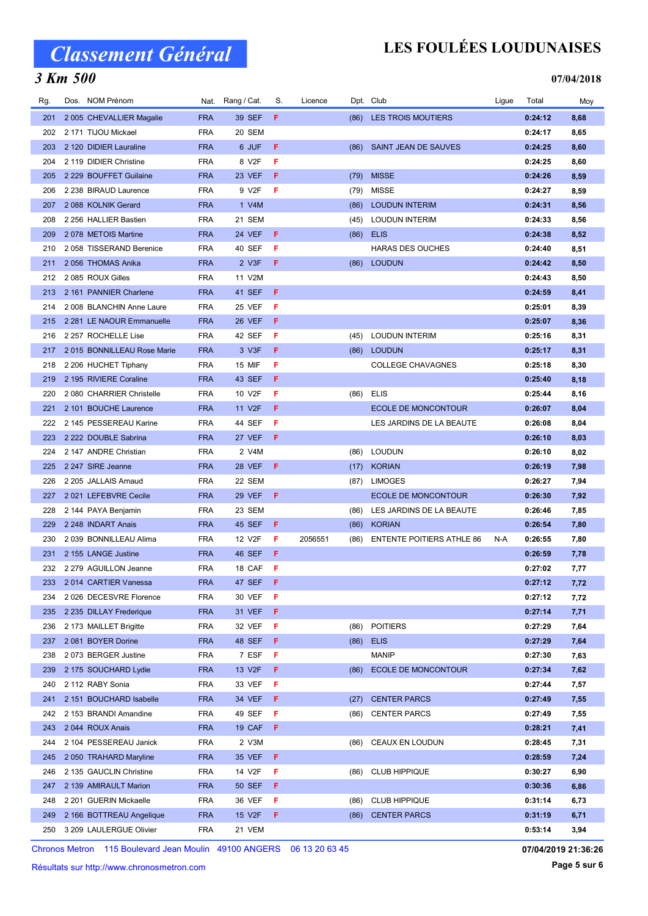### 3 Km 500

## LES FOULÉES LOUDUNAISES

#### 07/04/2018

| Rg. | Dos. NOM Prénom            |            | Nat. Rang / Cat.    | S. | Licence |      | Dpt. Club                        | Ligue | Total   | Moy  |
|-----|----------------------------|------------|---------------------|----|---------|------|----------------------------------|-------|---------|------|
| 201 | 2 005 CHEVALLIER Magalie   | <b>FRA</b> | 39 SEF              | F. |         |      | (86) LES TROIS MOUTIERS          |       | 0:24:12 | 8,68 |
| 202 | 2 171 TIJOU Mickael        | <b>FRA</b> | 20 SEM              |    |         |      |                                  |       | 0:24:17 | 8,65 |
| 203 | 2 120 DIDIER Lauraline     | <b>FRA</b> | 6 JUF               | F  |         | (86) | SAINT JEAN DE SAUVES             |       | 0:24:25 | 8,60 |
| 204 | 2 119 DIDIER Christine     | <b>FRA</b> | 8 V2F               | F  |         |      |                                  |       | 0:24:25 | 8,60 |
| 205 | 2 229 BOUFFET Guilaine     | <b>FRA</b> | 23 VEF              | F  |         | (79) | <b>MISSE</b>                     |       | 0:24:26 | 8,59 |
| 206 | 2 238 BIRAUD Laurence      | <b>FRA</b> | 9 V2F               | F  |         | (79) | <b>MISSE</b>                     |       | 0:24:27 | 8,59 |
| 207 | 2088 KOLNIK Gerard         | <b>FRA</b> | 1 V4M               |    |         | (86) | <b>LOUDUN INTERIM</b>            |       | 0:24:31 | 8,56 |
| 208 | 2 256 HALLIER Bastien      | <b>FRA</b> | 21 SEM              |    |         | (45) | <b>LOUDUN INTERIM</b>            |       | 0:24:33 | 8,56 |
| 209 | 2078 METOIS Martine        | <b>FRA</b> | <b>24 VEF</b>       | F  |         | (86) | <b>ELIS</b>                      |       | 0:24:38 | 8,52 |
| 210 | 2058 TISSERAND Berenice    | <b>FRA</b> | 40 SEF              | F  |         |      | <b>HARAS DES OUCHES</b>          |       | 0:24:40 | 8,51 |
| 211 | 2056 THOMAS Anika          | <b>FRA</b> | 2 V3F               | F  |         | (86) | <b>LOUDUN</b>                    |       | 0:24:42 | 8,50 |
| 212 | 2085 ROUX Gilles           | <b>FRA</b> | 11 V2M              |    |         |      |                                  |       | 0:24:43 | 8,50 |
| 213 | 2 161 PANNIER Charlene     | <b>FRA</b> | 41 SEF              | F  |         |      |                                  |       | 0:24:59 | 8,41 |
| 214 | 2008 BLANCHIN Anne Laure   | <b>FRA</b> | <b>25 VEF</b>       | F  |         |      |                                  |       | 0:25:01 | 8,39 |
| 215 | 2 281 LE NAOUR Emmanuelle  | <b>FRA</b> | <b>26 VEF</b>       | F  |         |      |                                  |       | 0:25:07 | 8,36 |
| 216 | 2 257 ROCHELLE Lise        | <b>FRA</b> | 42 SEF              | F  |         | (45) | <b>LOUDUN INTERIM</b>            |       | 0:25:16 | 8,31 |
| 217 | 2015 BONNILLEAU Rose Marie | <b>FRA</b> | 3 V3F               | F  |         | (86) | <b>LOUDUN</b>                    |       | 0:25:17 | 8,31 |
| 218 | 2 206 HUCHET Tiphany       | <b>FRA</b> | 15 MIF              | F  |         |      | <b>COLLEGE CHAVAGNES</b>         |       | 0:25:18 | 8,30 |
| 219 | 2 195 RIVIERE Coraline     | <b>FRA</b> | 43 SEF              | F  |         |      |                                  |       | 0:25:40 | 8,18 |
| 220 | 2080 CHARRIER Christelle   | <b>FRA</b> | 10 V2F              | F  |         | (86) | <b>ELIS</b>                      |       | 0:25:44 | 8,16 |
| 221 | 2 101 BOUCHE Laurence      | <b>FRA</b> | 11 V <sub>2</sub> F | F  |         |      | <b>ECOLE DE MONCONTOUR</b>       |       | 0:26:07 | 8,04 |
| 222 | 2 145 PESSEREAU Karine     | <b>FRA</b> | 44 SEF              | F  |         |      | LES JARDINS DE LA BEAUTE         |       | 0:26:08 | 8,04 |
| 223 | 2 222 DOUBLE Sabrina       | <b>FRA</b> | 27 VEF              | F  |         |      |                                  |       | 0:26:10 | 8,03 |
| 224 | 2 147 ANDRE Christian      | <b>FRA</b> | 2 V4M               |    |         | (86) | <b>LOUDUN</b>                    |       | 0:26:10 | 8,02 |
| 225 | 2 247 SIRE Jeanne          | <b>FRA</b> | <b>28 VEF</b>       | F  |         | (17) | <b>KORIAN</b>                    |       | 0:26:19 | 7,98 |
| 226 | 2 205 JALLAIS Arnaud       | <b>FRA</b> | 22 SEM              |    |         | (87) | <b>LIMOGES</b>                   |       | 0:26:27 | 7,94 |
| 227 | 2021 LEFEBVRE Cecile       | <b>FRA</b> | <b>29 VEF</b>       | F  |         |      | <b>ECOLE DE MONCONTOUR</b>       |       | 0:26:30 | 7,92 |
| 228 | 2 144 PAYA Benjamin        | <b>FRA</b> | 23 SEM              |    |         | (86) | LES JARDINS DE LA BEAUTE         |       | 0:26:46 | 7,85 |
| 229 | 2 248 INDART Anais         | <b>FRA</b> | 45 SEF              | F  |         | (86) | <b>KORIAN</b>                    |       | 0:26:54 | 7,80 |
| 230 | 2 039 BONNILLEAU Alima     | <b>FRA</b> | 12 V2F              | F  | 2056551 | (86) | <b>ENTENTE POITIERS ATHLE 86</b> | N-A   | 0:26:55 | 7,80 |
| 231 | 2 155 LANGE Justine        | <b>FRA</b> | 46 SEF              | F  |         |      |                                  |       | 0:26:59 | 7,78 |
| 232 | 2 279 AGUILLON Jeanne      | <b>FRA</b> | 18 CAF              | F  |         |      |                                  |       | 0:27:02 | 7,77 |
| 233 | 2014 CARTIER Vanessa       | <b>FRA</b> | 47 SEF              | F  |         |      |                                  |       | 0:27:12 | 7,72 |
| 234 | 2 026 DECESVRE Florence    | <b>FRA</b> | 30 VEF              | -F |         |      |                                  |       | 0:27:12 | 7,72 |
| 235 | 2 235 DILLAY Frederique    | <b>FRA</b> | 31 VEF              | F  |         |      |                                  |       | 0:27:14 | 7,71 |
| 236 | 2 173 MAILLET Brigitte     | <b>FRA</b> | 32 VEF              | F  |         | (86) | <b>POITIERS</b>                  |       | 0:27:29 | 7,64 |
| 237 | 2081 BOYER Dorine          | <b>FRA</b> | 48 SEF              | F  |         | (86) | <b>ELIS</b>                      |       | 0:27:29 | 7,64 |
| 238 | 2073 BERGER Justine        | <b>FRA</b> | 7 ESF               | F  |         |      | <b>MANIP</b>                     |       | 0:27:30 | 7,63 |
| 239 | 2 175 SOUCHARD Lydie       | <b>FRA</b> | 13 V2F              | F  |         | (86) | <b>ECOLE DE MONCONTOUR</b>       |       | 0:27:34 | 7,62 |
| 240 | 2 112 RABY Sonia           | <b>FRA</b> | 33 VEF              | F  |         |      |                                  |       | 0:27:44 | 7,57 |
| 241 | 2 151 BOUCHARD Isabelle    | <b>FRA</b> | 34 VEF              | F  |         | (27) | <b>CENTER PARCS</b>              |       | 0:27:49 | 7,55 |
| 242 | 2 153 BRANDI Amandine      | <b>FRA</b> | 49 SEF              | F  |         | (86) | <b>CENTER PARCS</b>              |       | 0:27:49 | 7,55 |
| 243 | 2044 ROUX Anais            | <b>FRA</b> | 19 CAF              | F  |         |      |                                  |       | 0:28:21 | 7,41 |
| 244 | 2 104 PESSEREAU Janick     | <b>FRA</b> | 2 V3M               |    |         | (86) | CEAUX EN LOUDUN                  |       | 0:28:45 | 7,31 |
| 245 | 2 050 TRAHARD Maryline     | <b>FRA</b> | 35 VEF              | F  |         |      |                                  |       | 0:28:59 | 7,24 |
| 246 | 2 135 GAUCLIN Christine    | <b>FRA</b> | 14 V2F              | F  |         | (86) | <b>CLUB HIPPIQUE</b>             |       | 0:30:27 | 6,90 |
| 247 | 2 139 AMIRAULT Marion      | <b>FRA</b> | <b>50 SEF</b>       | F  |         |      |                                  |       | 0:30:36 | 6,86 |
| 248 | 2 201 GUERIN Mickaelle     | <b>FRA</b> | 36 VEF              | F  |         | (86) | <b>CLUB HIPPIQUE</b>             |       | 0:31:14 | 6,73 |
| 249 | 2 166 BOTTREAU Angelique   | <b>FRA</b> | 15 V2F              | F. |         | (86) | <b>CENTER PARCS</b>              |       | 0:31:19 | 6,71 |
| 250 | 3 209 LAULERGUE Olivier    | <b>FRA</b> | 21 VEM              |    |         |      |                                  |       | 0:53:14 | 3,94 |

Chronos Metron 115 Boulevard Jean Moulin 49100 ANGERS 06 13 20 63 45